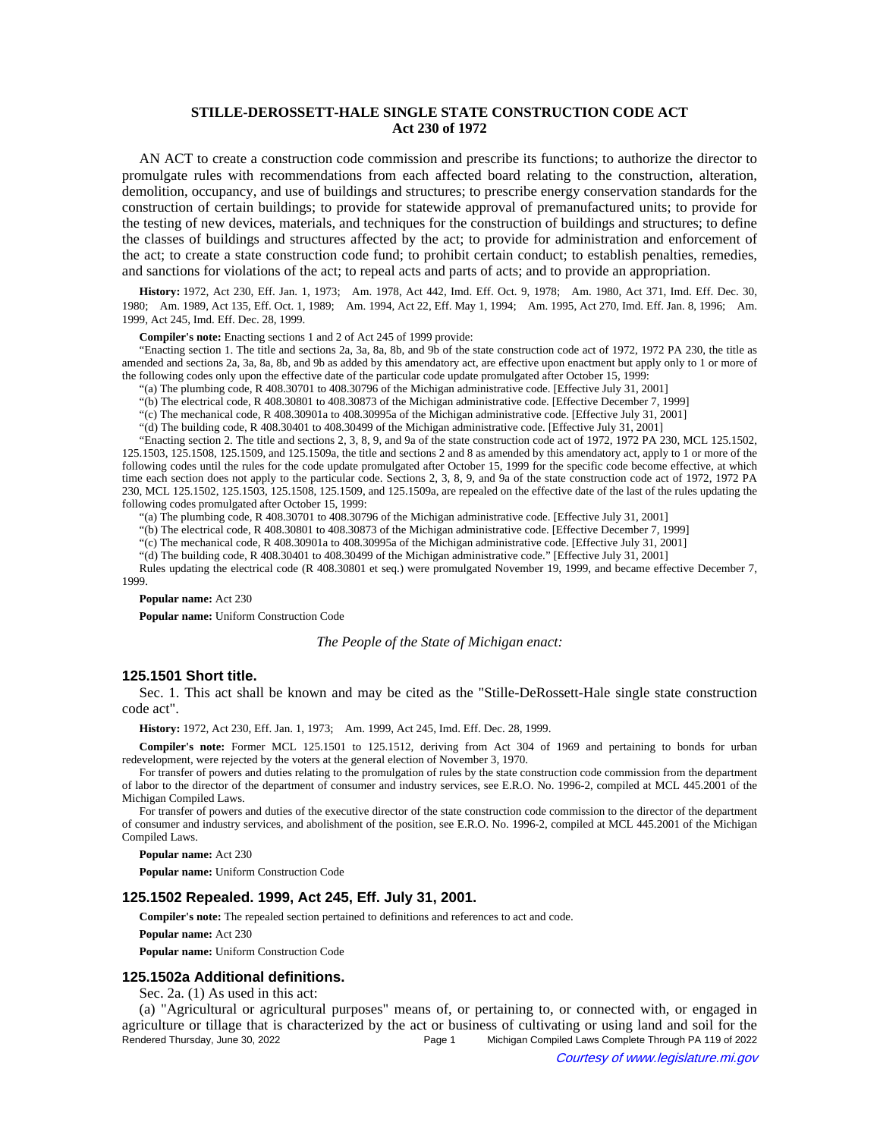# **STILLE-DEROSSETT-HALE SINGLE STATE CONSTRUCTION CODE ACT Act 230 of 1972**

AN ACT to create a construction code commission and prescribe its functions; to authorize the director to promulgate rules with recommendations from each affected board relating to the construction, alteration, demolition, occupancy, and use of buildings and structures; to prescribe energy conservation standards for the construction of certain buildings; to provide for statewide approval of premanufactured units; to provide for the testing of new devices, materials, and techniques for the construction of buildings and structures; to define the classes of buildings and structures affected by the act; to provide for administration and enforcement of the act; to create a state construction code fund; to prohibit certain conduct; to establish penalties, remedies, and sanctions for violations of the act; to repeal acts and parts of acts; and to provide an appropriation.

History: 1972, Act 230, Eff. Jan. 1, 1973;--Am. 1978, Act 442, Imd. Eff. Oct. 9, 1978;--Am. 1980, Act 371, Imd. Eff. Dec. 30, 1980;—Am. 1989, Act 135, Eff. Oct. 1, 1989;—Am. 1994, Act 22, Eff. May 1, 1994;—Am. 1995, Act 270, Imd. Eff. Jan. 8, 1996;—Am. 1999, Act 245, Imd. Eff. Dec. 28, 1999.

**Compiler's note:** Enacting sections 1 and 2 of Act 245 of 1999 provide:

"Enacting section 1. The title and sections 2a, 3a, 8a, 8b, and 9b of the state construction code act of 1972, 1972 PA 230, the title as amended and sections 2a, 3a, 8a, 8b, and 9b as added by this amendatory act, are effective upon enactment but apply only to 1 or more of the following codes only upon the effective date of the particular code update promulgated after October 15, 1999:

"(a) The plumbing code, R 408.30701 to 408.30796 of the Michigan administrative code. [Effective July 31, 2001]

"(b) The electrical code, R 408.30801 to 408.30873 of the Michigan administrative code. [Effective December 7, 1999]

"(c) The mechanical code, R 408.30901a to 408.30995a of the Michigan administrative code. [Effective July 31, 2001]

"(d) The building code, R 408.30401 to 408.30499 of the Michigan administrative code. [Effective July 31, 2001]

"Enacting section 2. The title and sections 2, 3, 8, 9, and 9a of the state construction code act of 1972, 1972 PA 230, MCL 125.1502, 125.1503, 125.1508, 125.1509, and 125.1509a, the title and sections 2 and 8 as amended by this amendatory act, apply to 1 or more of the following codes until the rules for the code update promulgated after October 15, 1999 for the specific code become effective, at which time each section does not apply to the particular code. Sections 2, 3, 8, 9, and 9a of the state construction code act of 1972, 1972 PA 230, MCL 125.1502, 125.1503, 125.1508, 125.1509, and 125.1509a, are repealed on the effective date of the last of the rules updating the following codes promulgated after October 15, 1999:

"(a) The plumbing code, R 408.30701 to 408.30796 of the Michigan administrative code. [Effective July 31, 2001]

"(b) The electrical code, R 408.30801 to 408.30873 of the Michigan administrative code. [Effective December 7, 1999]

"(c) The mechanical code, R 408.30901a to 408.30995a of the Michigan administrative code. [Effective July 31, 2001]

"(d) The building code, R 408.30401 to 408.30499 of the Michigan administrative code." [Effective July 31, 2001]

Rules updating the electrical code (R 408.30801 et seq.) were promulgated November 19, 1999, and became effective December 7, 1999.

**Popular name:** Act 230

**Popular name:** Uniform Construction Code

*The People of the State of Michigan enact:*

## **125.1501 Short title.**

Sec. 1. This act shall be known and may be cited as the "Stille-DeRossett-Hale single state construction code act".

History: 1972, Act 230, Eff. Jan. 1, 1973;-Am. 1999, Act 245, Imd. Eff. Dec. 28, 1999.

**Compiler's note:** Former MCL 125.1501 to 125.1512, deriving from Act 304 of 1969 and pertaining to bonds for urban redevelopment, were rejected by the voters at the general election of November 3, 1970.

For transfer of powers and duties relating to the promulgation of rules by the state construction code commission from the department of labor to the director of the department of consumer and industry services, see E.R.O. No. 1996-2, compiled at MCL 445.2001 of the Michigan Compiled Laws.

For transfer of powers and duties of the executive director of the state construction code commission to the director of the department of consumer and industry services, and abolishment of the position, see E.R.O. No. 1996-2, compiled at MCL 445.2001 of the Michigan Compiled Laws.

**Popular name:** Act 230

**Popular name:** Uniform Construction Code

#### **125.1502 Repealed. 1999, Act 245, Eff. July 31, 2001.**

**Compiler's note:** The repealed section pertained to definitions and references to act and code.

**Popular name:** Act 230

**Popular name:** Uniform Construction Code

### **125.1502a Additional definitions.**

Sec. 2a. (1) As used in this act:

(a) "Agricultural or agricultural purposes" means of, or pertaining to, or connected with, or engaged in agriculture or tillage that is characterized by the act or business of cultivating or using land and soil for the Rendered Thursday, June 30, 2022 Page 1 Michigan Compiled Laws Complete Through PA 119 of 2022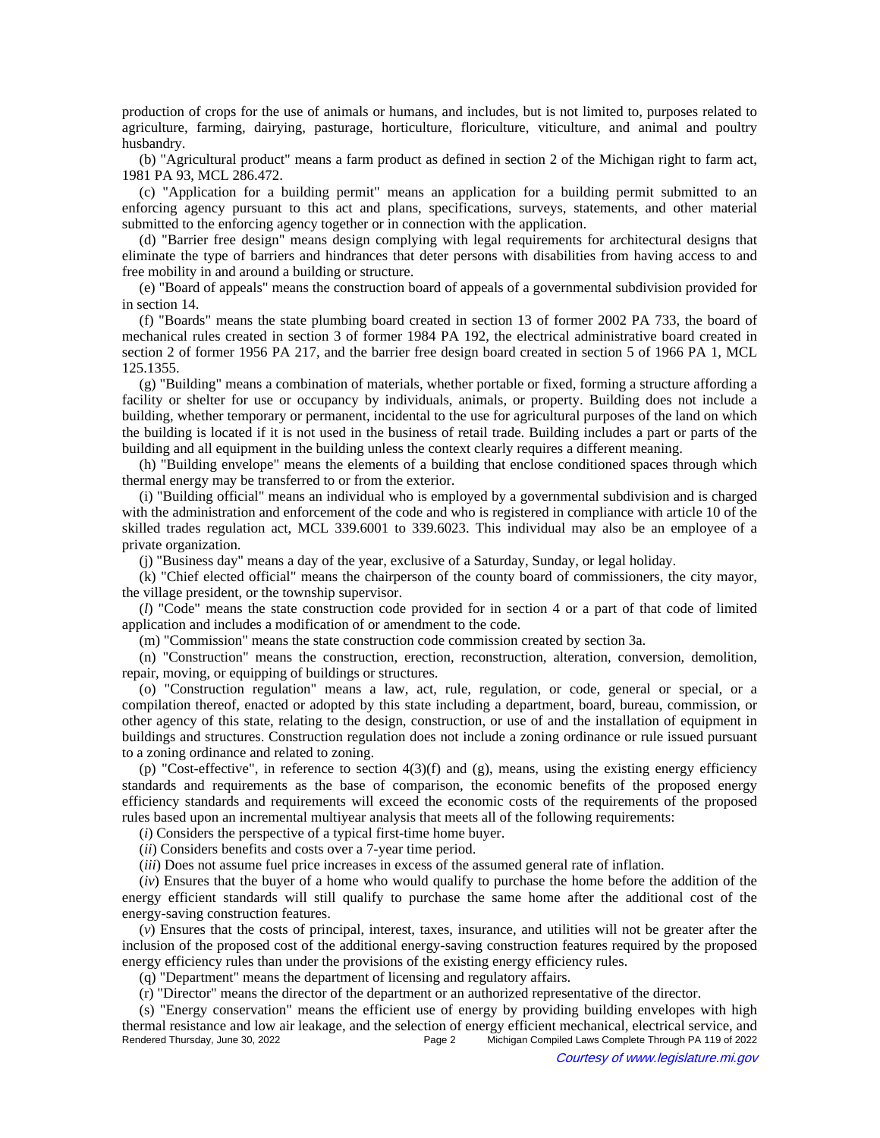production of crops for the use of animals or humans, and includes, but is not limited to, purposes related to agriculture, farming, dairying, pasturage, horticulture, floriculture, viticulture, and animal and poultry husbandry.

(b) "Agricultural product" means a farm product as defined in section 2 of the Michigan right to farm act, 1981 PA 93, MCL 286.472.

(c) "Application for a building permit" means an application for a building permit submitted to an enforcing agency pursuant to this act and plans, specifications, surveys, statements, and other material submitted to the enforcing agency together or in connection with the application.

(d) "Barrier free design" means design complying with legal requirements for architectural designs that eliminate the type of barriers and hindrances that deter persons with disabilities from having access to and free mobility in and around a building or structure.

(e) "Board of appeals" means the construction board of appeals of a governmental subdivision provided for in section 14.

(f) "Boards" means the state plumbing board created in section 13 of former 2002 PA 733, the board of mechanical rules created in section 3 of former 1984 PA 192, the electrical administrative board created in section 2 of former 1956 PA 217, and the barrier free design board created in section 5 of 1966 PA 1, MCL 125.1355.

(g) "Building" means a combination of materials, whether portable or fixed, forming a structure affording a facility or shelter for use or occupancy by individuals, animals, or property. Building does not include a building, whether temporary or permanent, incidental to the use for agricultural purposes of the land on which the building is located if it is not used in the business of retail trade. Building includes a part or parts of the building and all equipment in the building unless the context clearly requires a different meaning.

(h) "Building envelope" means the elements of a building that enclose conditioned spaces through which thermal energy may be transferred to or from the exterior.

(i) "Building official" means an individual who is employed by a governmental subdivision and is charged with the administration and enforcement of the code and who is registered in compliance with article 10 of the skilled trades regulation act, MCL 339.6001 to 339.6023. This individual may also be an employee of a private organization.

(j) "Business day" means a day of the year, exclusive of a Saturday, Sunday, or legal holiday.

(k) "Chief elected official" means the chairperson of the county board of commissioners, the city mayor, the village president, or the township supervisor.

(*l*) "Code" means the state construction code provided for in section 4 or a part of that code of limited application and includes a modification of or amendment to the code.

(m) "Commission" means the state construction code commission created by section 3a.

(n) "Construction" means the construction, erection, reconstruction, alteration, conversion, demolition, repair, moving, or equipping of buildings or structures.

(o) "Construction regulation" means a law, act, rule, regulation, or code, general or special, or a compilation thereof, enacted or adopted by this state including a department, board, bureau, commission, or other agency of this state, relating to the design, construction, or use of and the installation of equipment in buildings and structures. Construction regulation does not include a zoning ordinance or rule issued pursuant to a zoning ordinance and related to zoning.

(p) "Cost-effective", in reference to section  $4(3)(f)$  and (g), means, using the existing energy efficiency standards and requirements as the base of comparison, the economic benefits of the proposed energy efficiency standards and requirements will exceed the economic costs of the requirements of the proposed rules based upon an incremental multiyear analysis that meets all of the following requirements:

(*i*) Considers the perspective of a typical first-time home buyer.

(*ii*) Considers benefits and costs over a 7-year time period.

(*iii*) Does not assume fuel price increases in excess of the assumed general rate of inflation.

(*iv*) Ensures that the buyer of a home who would qualify to purchase the home before the addition of the energy efficient standards will still qualify to purchase the same home after the additional cost of the energy-saving construction features.

(*v*) Ensures that the costs of principal, interest, taxes, insurance, and utilities will not be greater after the inclusion of the proposed cost of the additional energy-saving construction features required by the proposed energy efficiency rules than under the provisions of the existing energy efficiency rules.

(q) "Department" means the department of licensing and regulatory affairs.

(r) "Director" means the director of the department or an authorized representative of the director.

(s) "Energy conservation" means the efficient use of energy by providing building envelopes with high thermal resistance and low air leakage, and the selection of energy efficient mechanical, electrical service, and<br>Page 2 Michigan Compiled Laws Complete Through PA 119 of 2022 Michigan Compiled Laws Complete Through PA 119 of 2022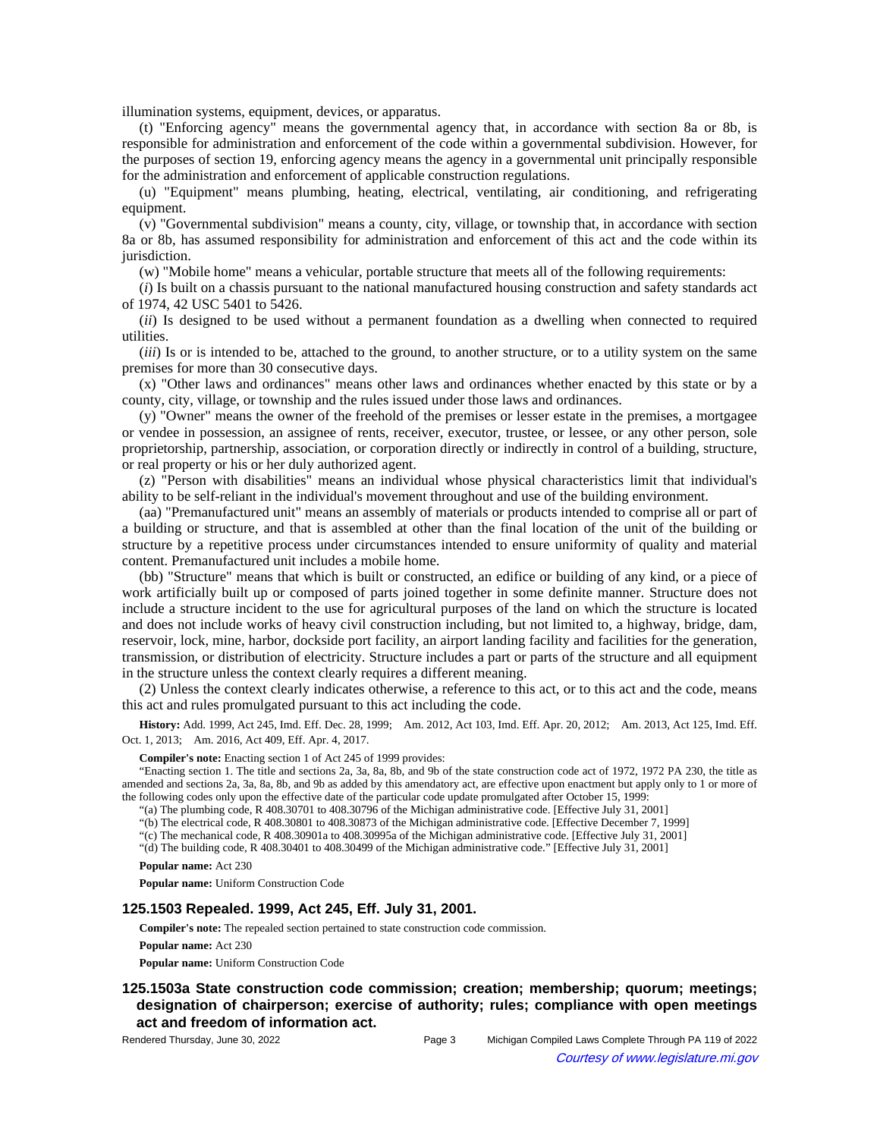illumination systems, equipment, devices, or apparatus.

(t) "Enforcing agency" means the governmental agency that, in accordance with section 8a or 8b, is responsible for administration and enforcement of the code within a governmental subdivision. However, for the purposes of section 19, enforcing agency means the agency in a governmental unit principally responsible for the administration and enforcement of applicable construction regulations.

(u) "Equipment" means plumbing, heating, electrical, ventilating, air conditioning, and refrigerating equipment.

(v) "Governmental subdivision" means a county, city, village, or township that, in accordance with section 8a or 8b, has assumed responsibility for administration and enforcement of this act and the code within its jurisdiction.

(w) "Mobile home" means a vehicular, portable structure that meets all of the following requirements:

(*i*) Is built on a chassis pursuant to the national manufactured housing construction and safety standards act of 1974, 42 USC 5401 to 5426.

(*ii*) Is designed to be used without a permanent foundation as a dwelling when connected to required utilities.

(*iii*) Is or is intended to be, attached to the ground, to another structure, or to a utility system on the same premises for more than 30 consecutive days.

(x) "Other laws and ordinances" means other laws and ordinances whether enacted by this state or by a county, city, village, or township and the rules issued under those laws and ordinances.

(y) "Owner" means the owner of the freehold of the premises or lesser estate in the premises, a mortgagee or vendee in possession, an assignee of rents, receiver, executor, trustee, or lessee, or any other person, sole proprietorship, partnership, association, or corporation directly or indirectly in control of a building, structure, or real property or his or her duly authorized agent.

(z) "Person with disabilities" means an individual whose physical characteristics limit that individual's ability to be self-reliant in the individual's movement throughout and use of the building environment.

(aa) "Premanufactured unit" means an assembly of materials or products intended to comprise all or part of a building or structure, and that is assembled at other than the final location of the unit of the building or structure by a repetitive process under circumstances intended to ensure uniformity of quality and material content. Premanufactured unit includes a mobile home.

(bb) "Structure" means that which is built or constructed, an edifice or building of any kind, or a piece of work artificially built up or composed of parts joined together in some definite manner. Structure does not include a structure incident to the use for agricultural purposes of the land on which the structure is located and does not include works of heavy civil construction including, but not limited to, a highway, bridge, dam, reservoir, lock, mine, harbor, dockside port facility, an airport landing facility and facilities for the generation, transmission, or distribution of electricity. Structure includes a part or parts of the structure and all equipment in the structure unless the context clearly requires a different meaning.

(2) Unless the context clearly indicates otherwise, a reference to this act, or to this act and the code, means this act and rules promulgated pursuant to this act including the code.

History: Add. 1999, Act 245, Imd. Eff. Dec. 28, 1999;—Am. 2012, Act 103, Imd. Eff. Apr. 20, 2012;—Am. 2013, Act 125, Imd. Eff. Oct. 1, 2013; — Am. 2016, Act 409, Eff. Apr. 4, 2017.

#### **Compiler's note:** Enacting section 1 of Act 245 of 1999 provides:

"Enacting section 1. The title and sections 2a, 3a, 8a, 8b, and 9b of the state construction code act of 1972, 1972 PA 230, the title as amended and sections 2a, 3a, 8a, 8b, and 9b as added by this amendatory act, are effective upon enactment but apply only to 1 or more of the following codes only upon the effective date of the particular code update promulgated after October 15, 1999:

"(a) The plumbing code, R 408.30701 to 408.30796 of the Michigan administrative code. [Effective July 31, 2001]

"(b) The electrical code, R 408.30801 to 408.30873 of the Michigan administrative code. [Effective December 7, 1999]

"(c) The mechanical code, R 408.30901a to 408.30995a of the Michigan administrative code. [Effective July 31, 2001]

"(d) The building code, R 408.30401 to 408.30499 of the Michigan administrative code." [Effective July 31, 2001]

**Popular name:** Act 230

**Popular name:** Uniform Construction Code

## **125.1503 Repealed. 1999, Act 245, Eff. July 31, 2001.**

**Compiler's note:** The repealed section pertained to state construction code commission.

**Popular name:** Act 230

**Popular name:** Uniform Construction Code

## **125.1503a State construction code commission; creation; membership; quorum; meetings; designation of chairperson; exercise of authority; rules; compliance with open meetings act and freedom of information act.**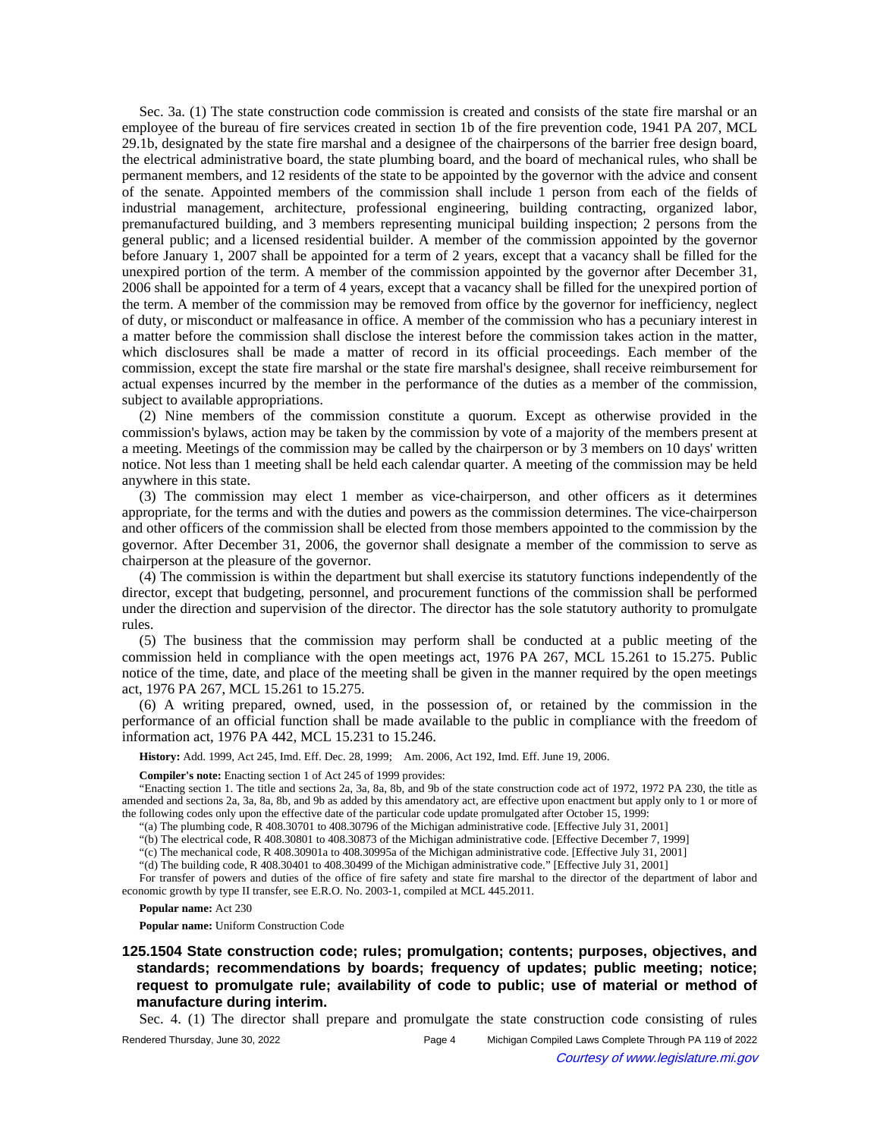Sec. 3a. (1) The state construction code commission is created and consists of the state fire marshal or an employee of the bureau of fire services created in section 1b of the fire prevention code, 1941 PA 207, MCL 29.1b, designated by the state fire marshal and a designee of the chairpersons of the barrier free design board, the electrical administrative board, the state plumbing board, and the board of mechanical rules, who shall be permanent members, and 12 residents of the state to be appointed by the governor with the advice and consent of the senate. Appointed members of the commission shall include 1 person from each of the fields of industrial management, architecture, professional engineering, building contracting, organized labor, premanufactured building, and 3 members representing municipal building inspection; 2 persons from the general public; and a licensed residential builder. A member of the commission appointed by the governor before January 1, 2007 shall be appointed for a term of 2 years, except that a vacancy shall be filled for the unexpired portion of the term. A member of the commission appointed by the governor after December 31, 2006 shall be appointed for a term of 4 years, except that a vacancy shall be filled for the unexpired portion of the term. A member of the commission may be removed from office by the governor for inefficiency, neglect of duty, or misconduct or malfeasance in office. A member of the commission who has a pecuniary interest in a matter before the commission shall disclose the interest before the commission takes action in the matter, which disclosures shall be made a matter of record in its official proceedings. Each member of the commission, except the state fire marshal or the state fire marshal's designee, shall receive reimbursement for actual expenses incurred by the member in the performance of the duties as a member of the commission, subject to available appropriations.

(2) Nine members of the commission constitute a quorum. Except as otherwise provided in the commission's bylaws, action may be taken by the commission by vote of a majority of the members present at a meeting. Meetings of the commission may be called by the chairperson or by 3 members on 10 days' written notice. Not less than 1 meeting shall be held each calendar quarter. A meeting of the commission may be held anywhere in this state.

(3) The commission may elect 1 member as vice-chairperson, and other officers as it determines appropriate, for the terms and with the duties and powers as the commission determines. The vice-chairperson and other officers of the commission shall be elected from those members appointed to the commission by the governor. After December 31, 2006, the governor shall designate a member of the commission to serve as chairperson at the pleasure of the governor.

(4) The commission is within the department but shall exercise its statutory functions independently of the director, except that budgeting, personnel, and procurement functions of the commission shall be performed under the direction and supervision of the director. The director has the sole statutory authority to promulgate rules.

(5) The business that the commission may perform shall be conducted at a public meeting of the commission held in compliance with the open meetings act, 1976 PA 267, MCL 15.261 to 15.275. Public notice of the time, date, and place of the meeting shall be given in the manner required by the open meetings act, 1976 PA 267, MCL 15.261 to 15.275.

(6) A writing prepared, owned, used, in the possession of, or retained by the commission in the performance of an official function shall be made available to the public in compliance with the freedom of information act, 1976 PA 442, MCL 15.231 to 15.246.

History: Add. 1999, Act 245, Imd. Eff. Dec. 28, 1999;-- Am. 2006, Act 192, Imd. Eff. June 19, 2006.

**Compiler's note:** Enacting section 1 of Act 245 of 1999 provides:

"Enacting section 1. The title and sections 2a, 3a, 8a, 8b, and 9b of the state construction code act of 1972, 1972 PA 230, the title as amended and sections 2a, 3a, 8a, 8b, and 9b as added by this amendatory act, are effective upon enactment but apply only to 1 or more of the following codes only upon the effective date of the particular code update promulgated after October 15, 1999:

"(a) The plumbing code, R 408.30701 to 408.30796 of the Michigan administrative code. [Effective July 31, 2001]

"(b) The electrical code, R 408.30801 to 408.30873 of the Michigan administrative code. [Effective December 7, 1999]

"(c) The mechanical code, R 408.30901a to 408.30995a of the Michigan administrative code. [Effective July 31, 2001]

"(d) The building code, R 408.30401 to 408.30499 of the Michigan administrative code." [Effective July 31, 2001]

For transfer of powers and duties of the office of fire safety and state fire marshal to the director of the department of labor and economic growth by type II transfer, see E.R.O. No. 2003-1, compiled at MCL 445.2011.

**Popular name:** Act 230

**Popular name:** Uniform Construction Code

**125.1504 State construction code; rules; promulgation; contents; purposes, objectives, and standards; recommendations by boards; frequency of updates; public meeting; notice; request to promulgate rule; availability of code to public; use of material or method of manufacture during interim.**

Sec. 4. (1) The director shall prepare and promulgate the state construction code consisting of rules

Rendered Thursday, June 30, 2022 Page 4 Michigan Compiled Laws Complete Through PA 119 of 2022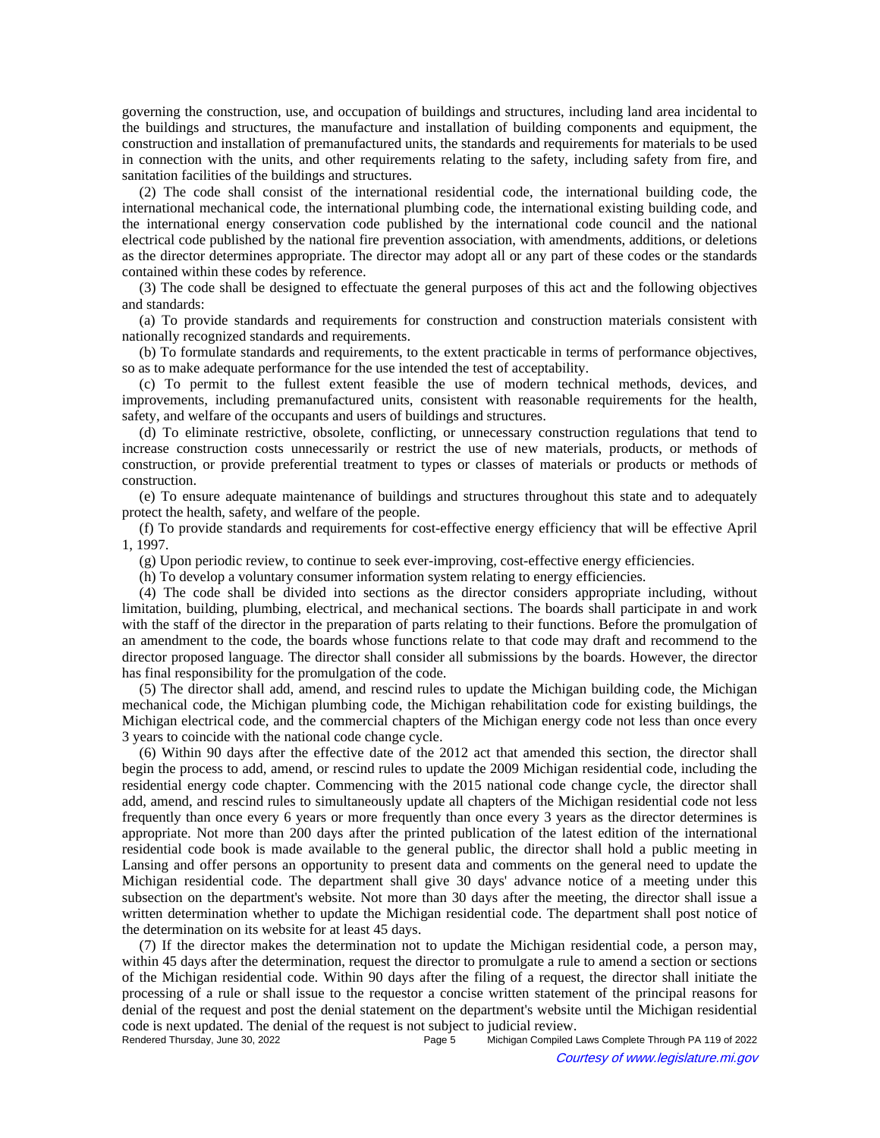governing the construction, use, and occupation of buildings and structures, including land area incidental to the buildings and structures, the manufacture and installation of building components and equipment, the construction and installation of premanufactured units, the standards and requirements for materials to be used in connection with the units, and other requirements relating to the safety, including safety from fire, and sanitation facilities of the buildings and structures.

(2) The code shall consist of the international residential code, the international building code, the international mechanical code, the international plumbing code, the international existing building code, and the international energy conservation code published by the international code council and the national electrical code published by the national fire prevention association, with amendments, additions, or deletions as the director determines appropriate. The director may adopt all or any part of these codes or the standards contained within these codes by reference.

(3) The code shall be designed to effectuate the general purposes of this act and the following objectives and standards:

(a) To provide standards and requirements for construction and construction materials consistent with nationally recognized standards and requirements.

(b) To formulate standards and requirements, to the extent practicable in terms of performance objectives, so as to make adequate performance for the use intended the test of acceptability.

(c) To permit to the fullest extent feasible the use of modern technical methods, devices, and improvements, including premanufactured units, consistent with reasonable requirements for the health, safety, and welfare of the occupants and users of buildings and structures.

(d) To eliminate restrictive, obsolete, conflicting, or unnecessary construction regulations that tend to increase construction costs unnecessarily or restrict the use of new materials, products, or methods of construction, or provide preferential treatment to types or classes of materials or products or methods of construction.

(e) To ensure adequate maintenance of buildings and structures throughout this state and to adequately protect the health, safety, and welfare of the people.

(f) To provide standards and requirements for cost-effective energy efficiency that will be effective April 1, 1997.

(g) Upon periodic review, to continue to seek ever-improving, cost-effective energy efficiencies.

(h) To develop a voluntary consumer information system relating to energy efficiencies.

(4) The code shall be divided into sections as the director considers appropriate including, without limitation, building, plumbing, electrical, and mechanical sections. The boards shall participate in and work with the staff of the director in the preparation of parts relating to their functions. Before the promulgation of an amendment to the code, the boards whose functions relate to that code may draft and recommend to the director proposed language. The director shall consider all submissions by the boards. However, the director has final responsibility for the promulgation of the code.

(5) The director shall add, amend, and rescind rules to update the Michigan building code, the Michigan mechanical code, the Michigan plumbing code, the Michigan rehabilitation code for existing buildings, the Michigan electrical code, and the commercial chapters of the Michigan energy code not less than once every 3 years to coincide with the national code change cycle.

(6) Within 90 days after the effective date of the 2012 act that amended this section, the director shall begin the process to add, amend, or rescind rules to update the 2009 Michigan residential code, including the residential energy code chapter. Commencing with the 2015 national code change cycle, the director shall add, amend, and rescind rules to simultaneously update all chapters of the Michigan residential code not less frequently than once every 6 years or more frequently than once every 3 years as the director determines is appropriate. Not more than 200 days after the printed publication of the latest edition of the international residential code book is made available to the general public, the director shall hold a public meeting in Lansing and offer persons an opportunity to present data and comments on the general need to update the Michigan residential code. The department shall give 30 days' advance notice of a meeting under this subsection on the department's website. Not more than 30 days after the meeting, the director shall issue a written determination whether to update the Michigan residential code. The department shall post notice of the determination on its website for at least 45 days.

(7) If the director makes the determination not to update the Michigan residential code, a person may, within 45 days after the determination, request the director to promulgate a rule to amend a section or sections of the Michigan residential code. Within 90 days after the filing of a request, the director shall initiate the processing of a rule or shall issue to the requestor a concise written statement of the principal reasons for denial of the request and post the denial statement on the department's website until the Michigan residential code is next updated. The denial of the request is not subject to judicial review.<br>Rendered Thursday, June 30, 2022<br>Page 5 Michigan Compiled I

Michigan Compiled Laws Complete Through PA 119 of 2022 Courtesy of www.legislature.mi.gov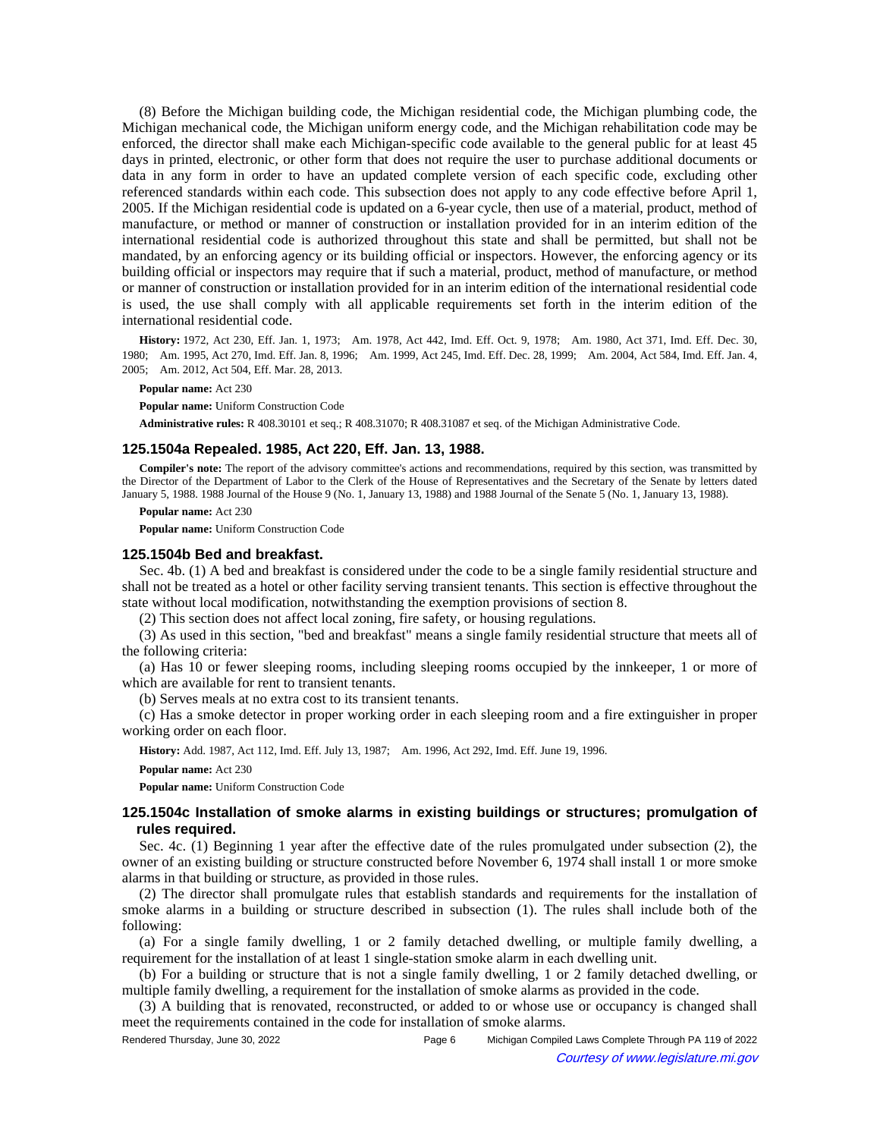(8) Before the Michigan building code, the Michigan residential code, the Michigan plumbing code, the Michigan mechanical code, the Michigan uniform energy code, and the Michigan rehabilitation code may be enforced, the director shall make each Michigan-specific code available to the general public for at least 45 days in printed, electronic, or other form that does not require the user to purchase additional documents or data in any form in order to have an updated complete version of each specific code, excluding other referenced standards within each code. This subsection does not apply to any code effective before April 1, 2005. If the Michigan residential code is updated on a 6-year cycle, then use of a material, product, method of manufacture, or method or manner of construction or installation provided for in an interim edition of the international residential code is authorized throughout this state and shall be permitted, but shall not be mandated, by an enforcing agency or its building official or inspectors. However, the enforcing agency or its building official or inspectors may require that if such a material, product, method of manufacture, or method or manner of construction or installation provided for in an interim edition of the international residential code is used, the use shall comply with all applicable requirements set forth in the interim edition of the international residential code.

History: 1972, Act 230, Eff. Jan. 1, 1973;--Am. 1978, Act 442, Imd. Eff. Oct. 9, 1978;--Am. 1980, Act 371, Imd. Eff. Dec. 30, 1980;-Am. 1995, Act 270, Imd. Eff. Jan. 8, 1996;-Am. 1999, Act 245, Imd. Eff. Dec. 28, 1999;-Am. 2004, Act 584, Imd. Eff. Jan. 4, 2005; Am. 2012, Act 504, Eff. Mar. 28, 2013.

#### **Popular name:** Act 230

**Popular name:** Uniform Construction Code

**Administrative rules:** R 408.30101 et seq.; R 408.31070; R 408.31087 et seq. of the Michigan Administrative Code.

#### **125.1504a Repealed. 1985, Act 220, Eff. Jan. 13, 1988.**

**Compiler's note:** The report of the advisory committee's actions and recommendations, required by this section, was transmitted by the Director of the Department of Labor to the Clerk of the House of Representatives and the Secretary of the Senate by letters dated January 5, 1988. 1988 Journal of the House 9 (No. 1, January 13, 1988) and 1988 Journal of the Senate 5 (No. 1, January 13, 1988).

#### **Popular name:** Act 230

**Popular name:** Uniform Construction Code

### **125.1504b Bed and breakfast.**

Sec. 4b. (1) A bed and breakfast is considered under the code to be a single family residential structure and shall not be treated as a hotel or other facility serving transient tenants. This section is effective throughout the state without local modification, notwithstanding the exemption provisions of section 8.

(2) This section does not affect local zoning, fire safety, or housing regulations.

(3) As used in this section, "bed and breakfast" means a single family residential structure that meets all of the following criteria:

(a) Has 10 or fewer sleeping rooms, including sleeping rooms occupied by the innkeeper, 1 or more of which are available for rent to transient tenants.

(b) Serves meals at no extra cost to its transient tenants.

(c) Has a smoke detector in proper working order in each sleeping room and a fire extinguisher in proper working order on each floor.

History: Add. 1987, Act 112, Imd. Eff. July 13, 1987;—Am. 1996, Act 292, Imd. Eff. June 19, 1996.

#### **Popular name:** Act 230

**Popular name:** Uniform Construction Code

## **125.1504c Installation of smoke alarms in existing buildings or structures; promulgation of rules required.**

Sec. 4c. (1) Beginning 1 year after the effective date of the rules promulgated under subsection (2), the owner of an existing building or structure constructed before November 6, 1974 shall install 1 or more smoke alarms in that building or structure, as provided in those rules.

(2) The director shall promulgate rules that establish standards and requirements for the installation of smoke alarms in a building or structure described in subsection (1). The rules shall include both of the following:

(a) For a single family dwelling, 1 or 2 family detached dwelling, or multiple family dwelling, a requirement for the installation of at least 1 single-station smoke alarm in each dwelling unit.

(b) For a building or structure that is not a single family dwelling, 1 or 2 family detached dwelling, or multiple family dwelling, a requirement for the installation of smoke alarms as provided in the code.

(3) A building that is renovated, reconstructed, or added to or whose use or occupancy is changed shall meet the requirements contained in the code for installation of smoke alarms.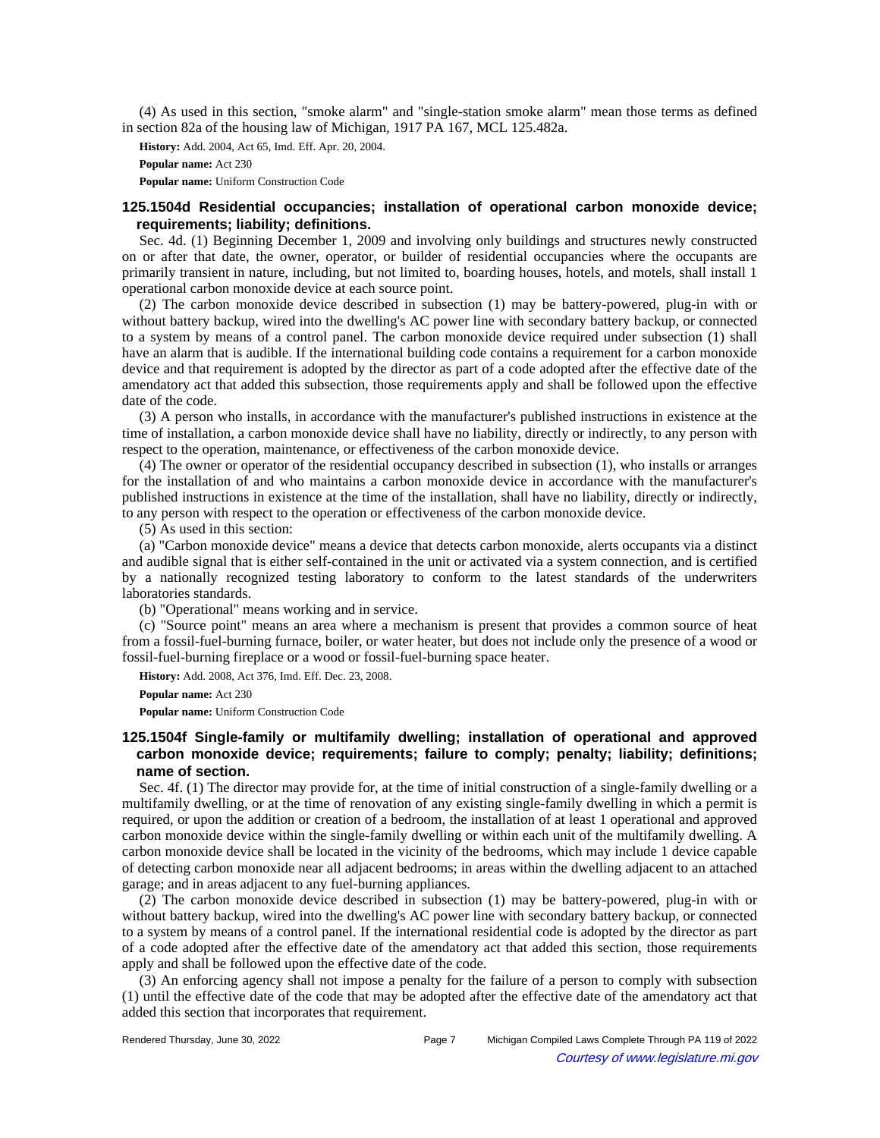(4) As used in this section, "smoke alarm" and "single-station smoke alarm" mean those terms as defined in section 82a of the housing law of Michigan, 1917 PA 167, MCL 125.482a.

**History:** Add. 2004, Act 65, Imd. Eff. Apr. 20, 2004.

**Popular name:** Act 230

**Popular name:** Uniform Construction Code

## **125.1504d Residential occupancies; installation of operational carbon monoxide device; requirements; liability; definitions.**

Sec. 4d. (1) Beginning December 1, 2009 and involving only buildings and structures newly constructed on or after that date, the owner, operator, or builder of residential occupancies where the occupants are primarily transient in nature, including, but not limited to, boarding houses, hotels, and motels, shall install 1 operational carbon monoxide device at each source point.

(2) The carbon monoxide device described in subsection (1) may be battery-powered, plug-in with or without battery backup, wired into the dwelling's AC power line with secondary battery backup, or connected to a system by means of a control panel. The carbon monoxide device required under subsection (1) shall have an alarm that is audible. If the international building code contains a requirement for a carbon monoxide device and that requirement is adopted by the director as part of a code adopted after the effective date of the amendatory act that added this subsection, those requirements apply and shall be followed upon the effective date of the code.

(3) A person who installs, in accordance with the manufacturer's published instructions in existence at the time of installation, a carbon monoxide device shall have no liability, directly or indirectly, to any person with respect to the operation, maintenance, or effectiveness of the carbon monoxide device.

(4) The owner or operator of the residential occupancy described in subsection (1), who installs or arranges for the installation of and who maintains a carbon monoxide device in accordance with the manufacturer's published instructions in existence at the time of the installation, shall have no liability, directly or indirectly, to any person with respect to the operation or effectiveness of the carbon monoxide device.

(5) As used in this section:

(a) "Carbon monoxide device" means a device that detects carbon monoxide, alerts occupants via a distinct and audible signal that is either self-contained in the unit or activated via a system connection, and is certified by a nationally recognized testing laboratory to conform to the latest standards of the underwriters laboratories standards.

(b) "Operational" means working and in service.

(c) "Source point" means an area where a mechanism is present that provides a common source of heat from a fossil-fuel-burning furnace, boiler, or water heater, but does not include only the presence of a wood or fossil-fuel-burning fireplace or a wood or fossil-fuel-burning space heater.

**History:** Add. 2008, Act 376, Imd. Eff. Dec. 23, 2008.

**Popular name:** Act 230

**Popular name:** Uniform Construction Code

# **125.1504f Single-family or multifamily dwelling; installation of operational and approved carbon monoxide device; requirements; failure to comply; penalty; liability; definitions; name of section.**

Sec. 4f. (1) The director may provide for, at the time of initial construction of a single-family dwelling or a multifamily dwelling, or at the time of renovation of any existing single-family dwelling in which a permit is required, or upon the addition or creation of a bedroom, the installation of at least 1 operational and approved carbon monoxide device within the single-family dwelling or within each unit of the multifamily dwelling. A carbon monoxide device shall be located in the vicinity of the bedrooms, which may include 1 device capable of detecting carbon monoxide near all adjacent bedrooms; in areas within the dwelling adjacent to an attached garage; and in areas adjacent to any fuel-burning appliances.

(2) The carbon monoxide device described in subsection (1) may be battery-powered, plug-in with or without battery backup, wired into the dwelling's AC power line with secondary battery backup, or connected to a system by means of a control panel. If the international residential code is adopted by the director as part of a code adopted after the effective date of the amendatory act that added this section, those requirements apply and shall be followed upon the effective date of the code.

(3) An enforcing agency shall not impose a penalty for the failure of a person to comply with subsection (1) until the effective date of the code that may be adopted after the effective date of the amendatory act that added this section that incorporates that requirement.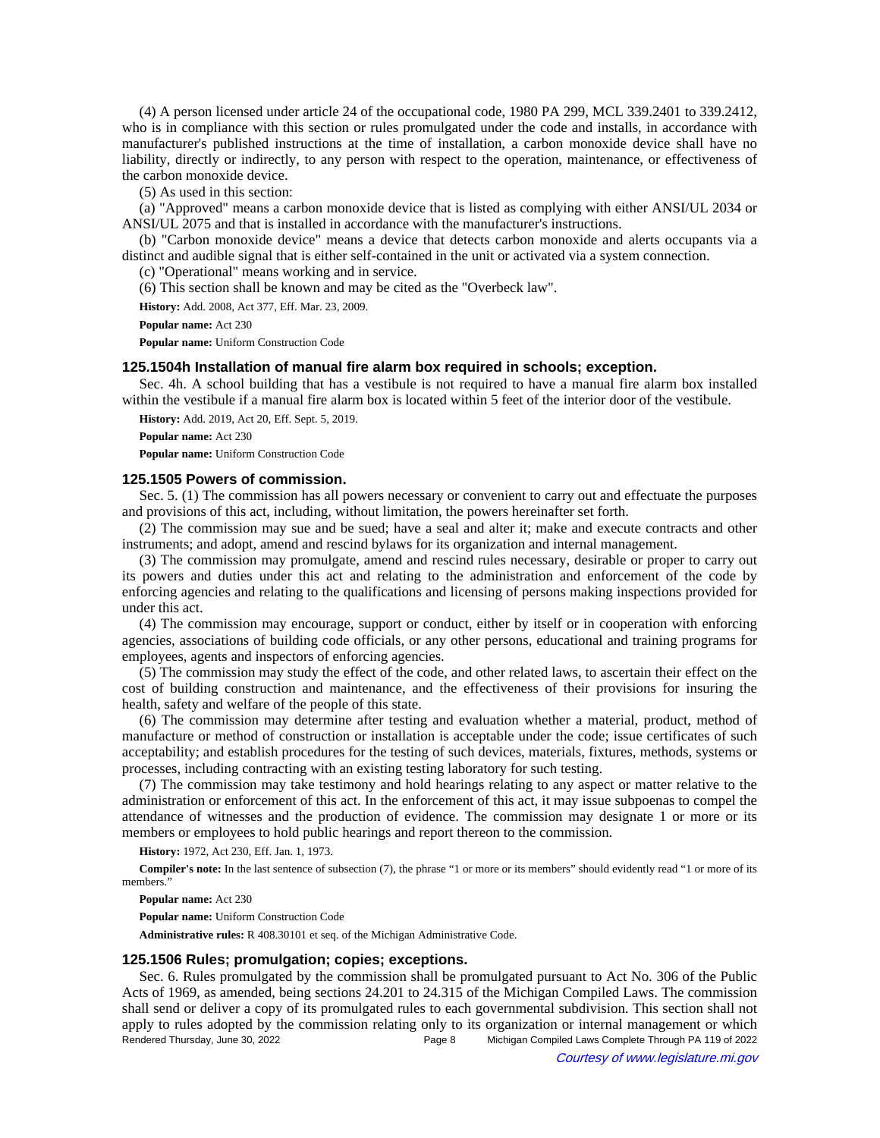(4) A person licensed under article 24 of the occupational code, 1980 PA 299, MCL 339.2401 to 339.2412, who is in compliance with this section or rules promulgated under the code and installs, in accordance with manufacturer's published instructions at the time of installation, a carbon monoxide device shall have no liability, directly or indirectly, to any person with respect to the operation, maintenance, or effectiveness of the carbon monoxide device.

(5) As used in this section:

(a) "Approved" means a carbon monoxide device that is listed as complying with either ANSI/UL 2034 or ANSI/UL 2075 and that is installed in accordance with the manufacturer's instructions.

(b) "Carbon monoxide device" means a device that detects carbon monoxide and alerts occupants via a distinct and audible signal that is either self-contained in the unit or activated via a system connection.

(c) "Operational" means working and in service.

(6) This section shall be known and may be cited as the "Overbeck law".

**History:** Add. 2008, Act 377, Eff. Mar. 23, 2009.

**Popular name:** Act 230

**Popular name:** Uniform Construction Code

### **125.1504h Installation of manual fire alarm box required in schools; exception.**

Sec. 4h. A school building that has a vestibule is not required to have a manual fire alarm box installed within the vestibule if a manual fire alarm box is located within 5 feet of the interior door of the vestibule.

**History:** Add. 2019, Act 20, Eff. Sept. 5, 2019.

**Popular name:** Act 230

**Popular name:** Uniform Construction Code

### **125.1505 Powers of commission.**

Sec. 5. (1) The commission has all powers necessary or convenient to carry out and effectuate the purposes and provisions of this act, including, without limitation, the powers hereinafter set forth.

(2) The commission may sue and be sued; have a seal and alter it; make and execute contracts and other instruments; and adopt, amend and rescind bylaws for its organization and internal management.

(3) The commission may promulgate, amend and rescind rules necessary, desirable or proper to carry out its powers and duties under this act and relating to the administration and enforcement of the code by enforcing agencies and relating to the qualifications and licensing of persons making inspections provided for under this act.

(4) The commission may encourage, support or conduct, either by itself or in cooperation with enforcing agencies, associations of building code officials, or any other persons, educational and training programs for employees, agents and inspectors of enforcing agencies.

(5) The commission may study the effect of the code, and other related laws, to ascertain their effect on the cost of building construction and maintenance, and the effectiveness of their provisions for insuring the health, safety and welfare of the people of this state.

(6) The commission may determine after testing and evaluation whether a material, product, method of manufacture or method of construction or installation is acceptable under the code; issue certificates of such acceptability; and establish procedures for the testing of such devices, materials, fixtures, methods, systems or processes, including contracting with an existing testing laboratory for such testing.

(7) The commission may take testimony and hold hearings relating to any aspect or matter relative to the administration or enforcement of this act. In the enforcement of this act, it may issue subpoenas to compel the attendance of witnesses and the production of evidence. The commission may designate 1 or more or its members or employees to hold public hearings and report thereon to the commission.

**History:** 1972, Act 230, Eff. Jan. 1, 1973.

**Compiler's note:** In the last sentence of subsection (7), the phrase "1 or more or its members" should evidently read "1 or more of its members."

**Popular name:** Act 230

**Popular name:** Uniform Construction Code

**Administrative rules:** R 408.30101 et seq. of the Michigan Administrative Code.

### **125.1506 Rules; promulgation; copies; exceptions.**

Sec. 6. Rules promulgated by the commission shall be promulgated pursuant to Act No. 306 of the Public Acts of 1969, as amended, being sections 24.201 to 24.315 of the Michigan Compiled Laws. The commission shall send or deliver a copy of its promulgated rules to each governmental subdivision. This section shall not apply to rules adopted by the commission relating only to its organization or internal management or which Rendered Thursday, June 30, 2022 Page 8 Michigan Compiled Laws Complete Through PA 119 of 2022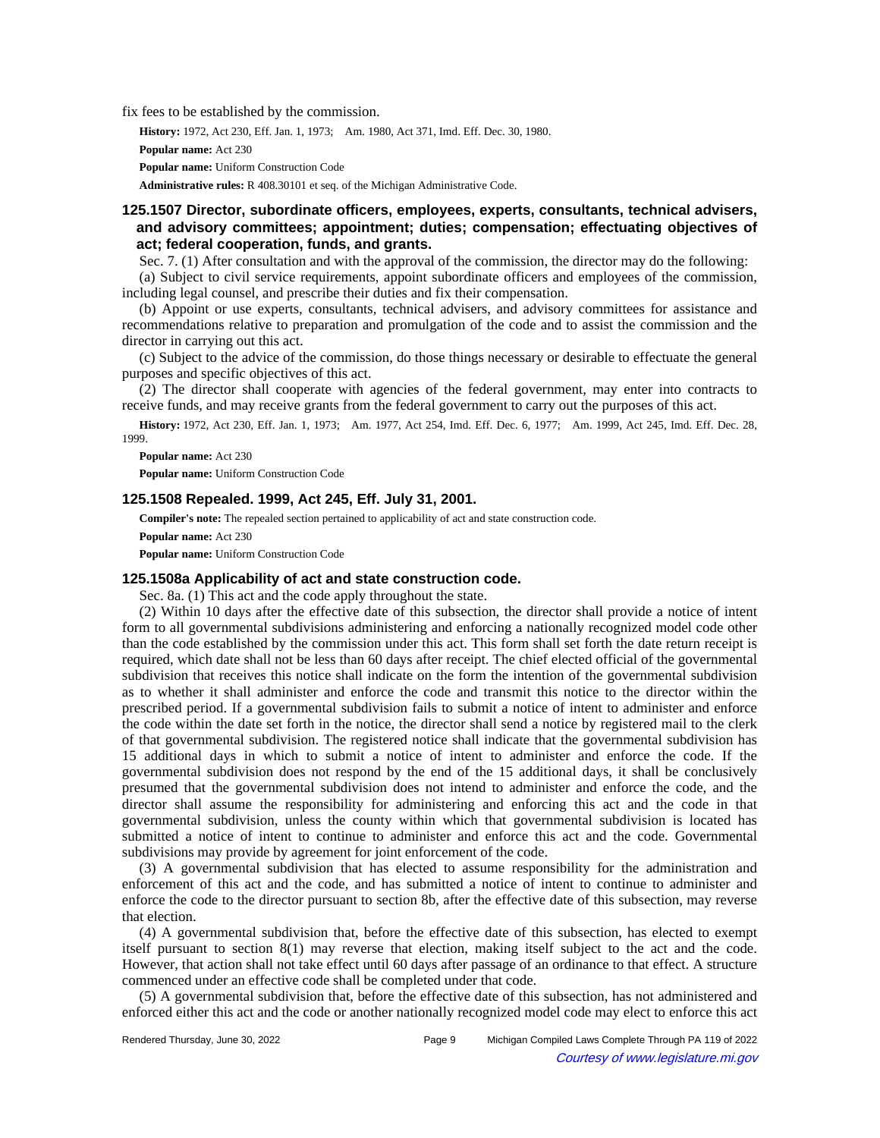fix fees to be established by the commission.

History: 1972, Act 230, Eff. Jan. 1, 1973;-- Am. 1980, Act 371, Imd. Eff. Dec. 30, 1980.

```
Popular name: Act 230
```
**Popular name:** Uniform Construction Code

**Administrative rules:** R 408.30101 et seq. of the Michigan Administrative Code.

## **125.1507 Director, subordinate officers, employees, experts, consultants, technical advisers, and advisory committees; appointment; duties; compensation; effectuating objectives of act; federal cooperation, funds, and grants.**

Sec. 7. (1) After consultation and with the approval of the commission, the director may do the following: (a) Subject to civil service requirements, appoint subordinate officers and employees of the commission,

including legal counsel, and prescribe their duties and fix their compensation.

(b) Appoint or use experts, consultants, technical advisers, and advisory committees for assistance and recommendations relative to preparation and promulgation of the code and to assist the commission and the director in carrying out this act.

(c) Subject to the advice of the commission, do those things necessary or desirable to effectuate the general purposes and specific objectives of this act.

(2) The director shall cooperate with agencies of the federal government, may enter into contracts to receive funds, and may receive grants from the federal government to carry out the purposes of this act.

History: 1972, Act 230, Eff. Jan. 1, 1973;—Am. 1977, Act 254, Imd. Eff. Dec. 6, 1977;—Am. 1999, Act 245, Imd. Eff. Dec. 28, 1999.

**Popular name:** Act 230 **Popular name:** Uniform Construction Code

### **125.1508 Repealed. 1999, Act 245, Eff. July 31, 2001.**

**Compiler's note:** The repealed section pertained to applicability of act and state construction code.

**Popular name:** Act 230

**Popular name:** Uniform Construction Code

### **125.1508a Applicability of act and state construction code.**

Sec. 8a. (1) This act and the code apply throughout the state.

(2) Within 10 days after the effective date of this subsection, the director shall provide a notice of intent form to all governmental subdivisions administering and enforcing a nationally recognized model code other than the code established by the commission under this act. This form shall set forth the date return receipt is required, which date shall not be less than 60 days after receipt. The chief elected official of the governmental subdivision that receives this notice shall indicate on the form the intention of the governmental subdivision as to whether it shall administer and enforce the code and transmit this notice to the director within the prescribed period. If a governmental subdivision fails to submit a notice of intent to administer and enforce the code within the date set forth in the notice, the director shall send a notice by registered mail to the clerk of that governmental subdivision. The registered notice shall indicate that the governmental subdivision has 15 additional days in which to submit a notice of intent to administer and enforce the code. If the governmental subdivision does not respond by the end of the 15 additional days, it shall be conclusively presumed that the governmental subdivision does not intend to administer and enforce the code, and the director shall assume the responsibility for administering and enforcing this act and the code in that governmental subdivision, unless the county within which that governmental subdivision is located has submitted a notice of intent to continue to administer and enforce this act and the code. Governmental subdivisions may provide by agreement for joint enforcement of the code.

(3) A governmental subdivision that has elected to assume responsibility for the administration and enforcement of this act and the code, and has submitted a notice of intent to continue to administer and enforce the code to the director pursuant to section 8b, after the effective date of this subsection, may reverse that election.

(4) A governmental subdivision that, before the effective date of this subsection, has elected to exempt itself pursuant to section 8(1) may reverse that election, making itself subject to the act and the code. However, that action shall not take effect until 60 days after passage of an ordinance to that effect. A structure commenced under an effective code shall be completed under that code.

(5) A governmental subdivision that, before the effective date of this subsection, has not administered and enforced either this act and the code or another nationally recognized model code may elect to enforce this act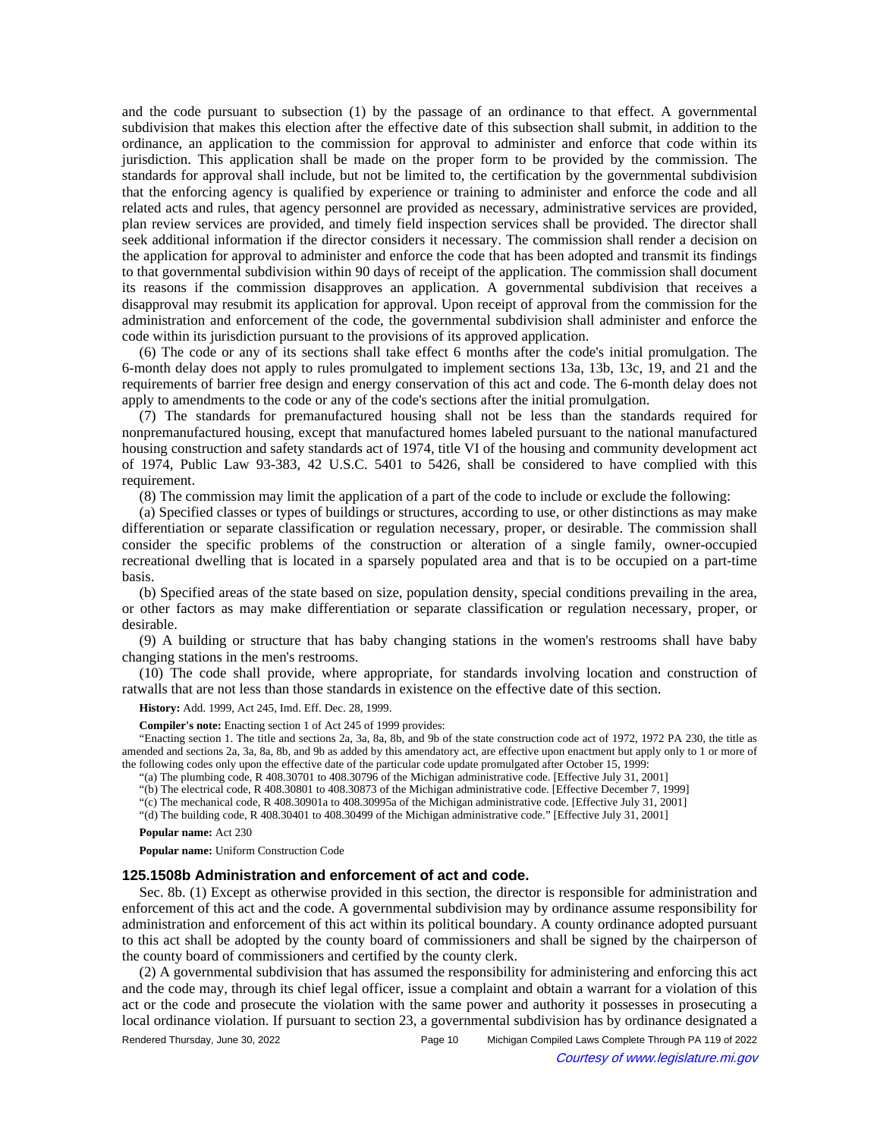and the code pursuant to subsection (1) by the passage of an ordinance to that effect. A governmental subdivision that makes this election after the effective date of this subsection shall submit, in addition to the ordinance, an application to the commission for approval to administer and enforce that code within its jurisdiction. This application shall be made on the proper form to be provided by the commission. The standards for approval shall include, but not be limited to, the certification by the governmental subdivision that the enforcing agency is qualified by experience or training to administer and enforce the code and all related acts and rules, that agency personnel are provided as necessary, administrative services are provided, plan review services are provided, and timely field inspection services shall be provided. The director shall seek additional information if the director considers it necessary. The commission shall render a decision on the application for approval to administer and enforce the code that has been adopted and transmit its findings to that governmental subdivision within 90 days of receipt of the application. The commission shall document its reasons if the commission disapproves an application. A governmental subdivision that receives a disapproval may resubmit its application for approval. Upon receipt of approval from the commission for the administration and enforcement of the code, the governmental subdivision shall administer and enforce the code within its jurisdiction pursuant to the provisions of its approved application.

(6) The code or any of its sections shall take effect 6 months after the code's initial promulgation. The 6-month delay does not apply to rules promulgated to implement sections 13a, 13b, 13c, 19, and 21 and the requirements of barrier free design and energy conservation of this act and code. The 6-month delay does not apply to amendments to the code or any of the code's sections after the initial promulgation.

(7) The standards for premanufactured housing shall not be less than the standards required for nonpremanufactured housing, except that manufactured homes labeled pursuant to the national manufactured housing construction and safety standards act of 1974, title VI of the housing and community development act of 1974, Public Law 93-383, 42 U.S.C. 5401 to 5426, shall be considered to have complied with this requirement.

(8) The commission may limit the application of a part of the code to include or exclude the following:

(a) Specified classes or types of buildings or structures, according to use, or other distinctions as may make differentiation or separate classification or regulation necessary, proper, or desirable. The commission shall consider the specific problems of the construction or alteration of a single family, owner-occupied recreational dwelling that is located in a sparsely populated area and that is to be occupied on a part-time basis.

(b) Specified areas of the state based on size, population density, special conditions prevailing in the area, or other factors as may make differentiation or separate classification or regulation necessary, proper, or desirable.

(9) A building or structure that has baby changing stations in the women's restrooms shall have baby changing stations in the men's restrooms.

(10) The code shall provide, where appropriate, for standards involving location and construction of ratwalls that are not less than those standards in existence on the effective date of this section.

**History:** Add. 1999, Act 245, Imd. Eff. Dec. 28, 1999.

**Compiler's note:** Enacting section 1 of Act 245 of 1999 provides:

"Enacting section 1. The title and sections 2a, 3a, 8a, 8b, and 9b of the state construction code act of 1972, 1972 PA 230, the title as amended and sections 2a, 3a, 8a, 8b, and 9b as added by this amendatory act, are effective upon enactment but apply only to 1 or more of the following codes only upon the effective date of the particular code update promulgated after October 15, 1999:

"(a) The plumbing code, R 408.30701 to 408.30796 of the Michigan administrative code. [Effective July 31, 2001]

"(b) The electrical code, R 408.30801 to 408.30873 of the Michigan administrative code. [Effective December 7, 1999]

"(c) The mechanical code, R 408.30901a to 408.30995a of the Michigan administrative code. [Effective July 31, 2001]

"(d) The building code, R 408.30401 to 408.30499 of the Michigan administrative code." [Effective July 31, 2001]

**Popular name:** Act 230

**Popular name:** Uniform Construction Code

## **125.1508b Administration and enforcement of act and code.**

Sec. 8b. (1) Except as otherwise provided in this section, the director is responsible for administration and enforcement of this act and the code. A governmental subdivision may by ordinance assume responsibility for administration and enforcement of this act within its political boundary. A county ordinance adopted pursuant to this act shall be adopted by the county board of commissioners and shall be signed by the chairperson of the county board of commissioners and certified by the county clerk.

(2) A governmental subdivision that has assumed the responsibility for administering and enforcing this act and the code may, through its chief legal officer, issue a complaint and obtain a warrant for a violation of this act or the code and prosecute the violation with the same power and authority it possesses in prosecuting a local ordinance violation. If pursuant to section 23, a governmental subdivision has by ordinance designated a

Rendered Thursday, June 30, 2022 Page 10 Michigan Compiled Laws Complete Through PA 119 of 2022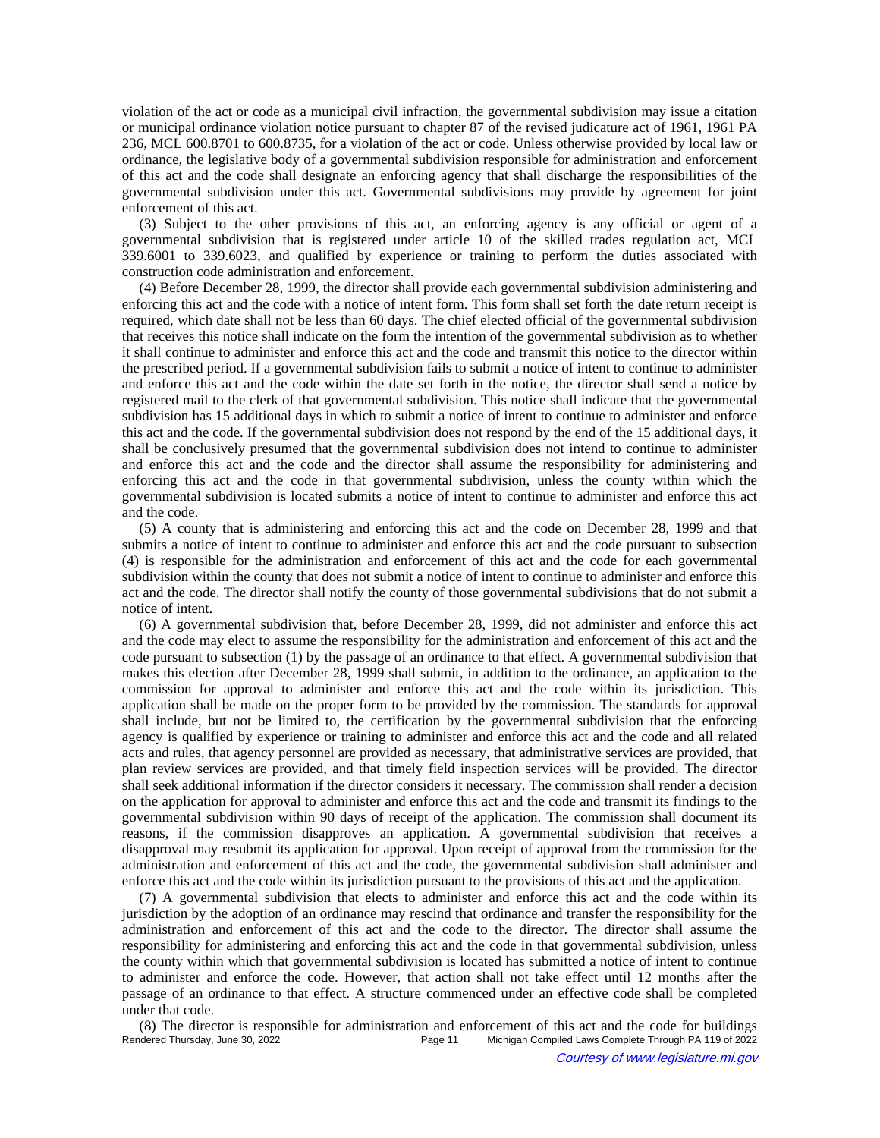violation of the act or code as a municipal civil infraction, the governmental subdivision may issue a citation or municipal ordinance violation notice pursuant to chapter 87 of the revised judicature act of 1961, 1961 PA 236, MCL 600.8701 to 600.8735, for a violation of the act or code. Unless otherwise provided by local law or ordinance, the legislative body of a governmental subdivision responsible for administration and enforcement of this act and the code shall designate an enforcing agency that shall discharge the responsibilities of the governmental subdivision under this act. Governmental subdivisions may provide by agreement for joint enforcement of this act.

(3) Subject to the other provisions of this act, an enforcing agency is any official or agent of a governmental subdivision that is registered under article 10 of the skilled trades regulation act, MCL 339.6001 to 339.6023, and qualified by experience or training to perform the duties associated with construction code administration and enforcement.

(4) Before December 28, 1999, the director shall provide each governmental subdivision administering and enforcing this act and the code with a notice of intent form. This form shall set forth the date return receipt is required, which date shall not be less than 60 days. The chief elected official of the governmental subdivision that receives this notice shall indicate on the form the intention of the governmental subdivision as to whether it shall continue to administer and enforce this act and the code and transmit this notice to the director within the prescribed period. If a governmental subdivision fails to submit a notice of intent to continue to administer and enforce this act and the code within the date set forth in the notice, the director shall send a notice by registered mail to the clerk of that governmental subdivision. This notice shall indicate that the governmental subdivision has 15 additional days in which to submit a notice of intent to continue to administer and enforce this act and the code. If the governmental subdivision does not respond by the end of the 15 additional days, it shall be conclusively presumed that the governmental subdivision does not intend to continue to administer and enforce this act and the code and the director shall assume the responsibility for administering and enforcing this act and the code in that governmental subdivision, unless the county within which the governmental subdivision is located submits a notice of intent to continue to administer and enforce this act and the code.

(5) A county that is administering and enforcing this act and the code on December 28, 1999 and that submits a notice of intent to continue to administer and enforce this act and the code pursuant to subsection (4) is responsible for the administration and enforcement of this act and the code for each governmental subdivision within the county that does not submit a notice of intent to continue to administer and enforce this act and the code. The director shall notify the county of those governmental subdivisions that do not submit a notice of intent.

(6) A governmental subdivision that, before December 28, 1999, did not administer and enforce this act and the code may elect to assume the responsibility for the administration and enforcement of this act and the code pursuant to subsection (1) by the passage of an ordinance to that effect. A governmental subdivision that makes this election after December 28, 1999 shall submit, in addition to the ordinance, an application to the commission for approval to administer and enforce this act and the code within its jurisdiction. This application shall be made on the proper form to be provided by the commission. The standards for approval shall include, but not be limited to, the certification by the governmental subdivision that the enforcing agency is qualified by experience or training to administer and enforce this act and the code and all related acts and rules, that agency personnel are provided as necessary, that administrative services are provided, that plan review services are provided, and that timely field inspection services will be provided. The director shall seek additional information if the director considers it necessary. The commission shall render a decision on the application for approval to administer and enforce this act and the code and transmit its findings to the governmental subdivision within 90 days of receipt of the application. The commission shall document its reasons, if the commission disapproves an application. A governmental subdivision that receives a disapproval may resubmit its application for approval. Upon receipt of approval from the commission for the administration and enforcement of this act and the code, the governmental subdivision shall administer and enforce this act and the code within its jurisdiction pursuant to the provisions of this act and the application.

(7) A governmental subdivision that elects to administer and enforce this act and the code within its jurisdiction by the adoption of an ordinance may rescind that ordinance and transfer the responsibility for the administration and enforcement of this act and the code to the director. The director shall assume the responsibility for administering and enforcing this act and the code in that governmental subdivision, unless the county within which that governmental subdivision is located has submitted a notice of intent to continue to administer and enforce the code. However, that action shall not take effect until 12 months after the passage of an ordinance to that effect. A structure commenced under an effective code shall be completed under that code.

(8) The director is responsible for administration and enforcement of this act and the code for buildings Rendered Thursday, June 30, 2022<br>Page 11 Michigan Compiled Laws Complete Through PA 119 of 2022 Michigan Compiled Laws Complete Through PA 119 of 2022 Courtesy of www.legislature.mi.gov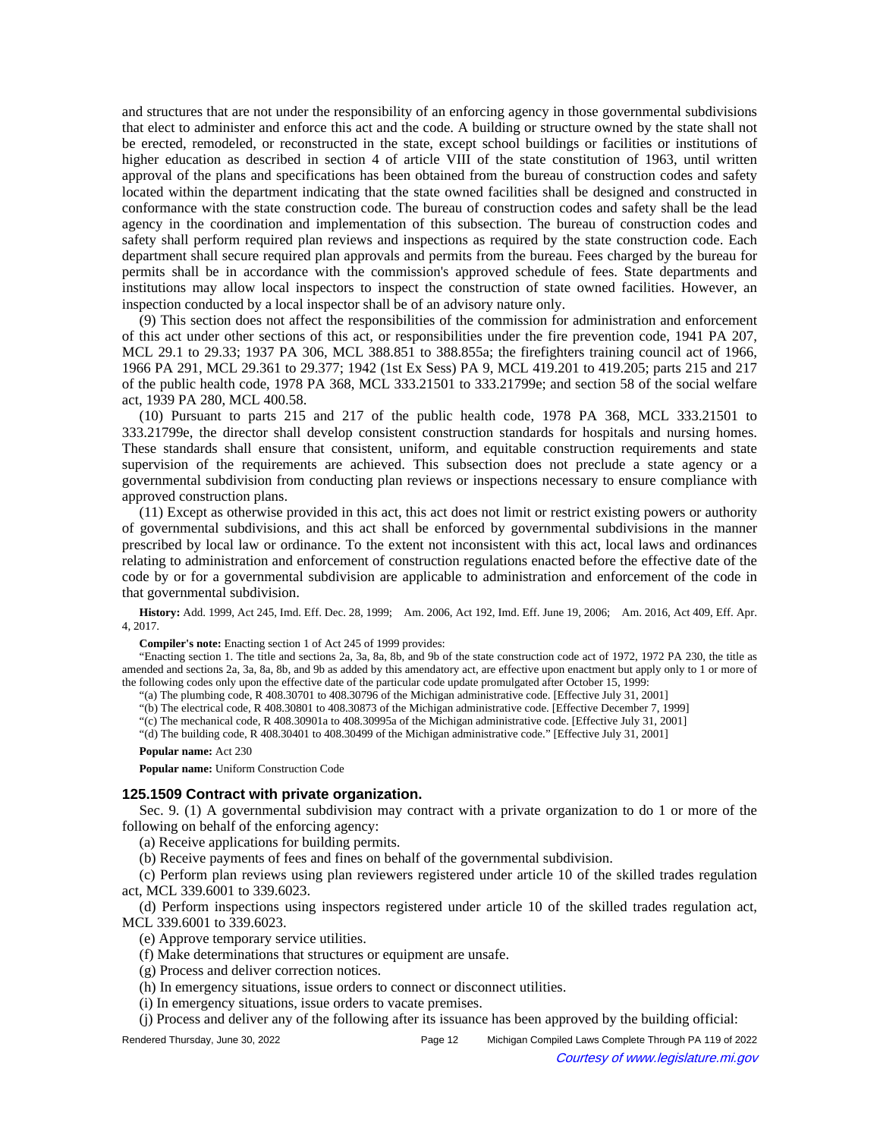and structures that are not under the responsibility of an enforcing agency in those governmental subdivisions that elect to administer and enforce this act and the code. A building or structure owned by the state shall not be erected, remodeled, or reconstructed in the state, except school buildings or facilities or institutions of higher education as described in section 4 of article VIII of the state constitution of 1963, until written approval of the plans and specifications has been obtained from the bureau of construction codes and safety located within the department indicating that the state owned facilities shall be designed and constructed in conformance with the state construction code. The bureau of construction codes and safety shall be the lead agency in the coordination and implementation of this subsection. The bureau of construction codes and safety shall perform required plan reviews and inspections as required by the state construction code. Each department shall secure required plan approvals and permits from the bureau. Fees charged by the bureau for permits shall be in accordance with the commission's approved schedule of fees. State departments and institutions may allow local inspectors to inspect the construction of state owned facilities. However, an inspection conducted by a local inspector shall be of an advisory nature only.

(9) This section does not affect the responsibilities of the commission for administration and enforcement of this act under other sections of this act, or responsibilities under the fire prevention code, 1941 PA 207, MCL 29.1 to 29.33; 1937 PA 306, MCL 388.851 to 388.855a; the firefighters training council act of 1966, 1966 PA 291, MCL 29.361 to 29.377; 1942 (1st Ex Sess) PA 9, MCL 419.201 to 419.205; parts 215 and 217 of the public health code, 1978 PA 368, MCL 333.21501 to 333.21799e; and section 58 of the social welfare act, 1939 PA 280, MCL 400.58.

(10) Pursuant to parts 215 and 217 of the public health code, 1978 PA 368, MCL 333.21501 to 333.21799e, the director shall develop consistent construction standards for hospitals and nursing homes. These standards shall ensure that consistent, uniform, and equitable construction requirements and state supervision of the requirements are achieved. This subsection does not preclude a state agency or a governmental subdivision from conducting plan reviews or inspections necessary to ensure compliance with approved construction plans.

(11) Except as otherwise provided in this act, this act does not limit or restrict existing powers or authority of governmental subdivisions, and this act shall be enforced by governmental subdivisions in the manner prescribed by local law or ordinance. To the extent not inconsistent with this act, local laws and ordinances relating to administration and enforcement of construction regulations enacted before the effective date of the code by or for a governmental subdivision are applicable to administration and enforcement of the code in that governmental subdivision.

History: Add. 1999, Act 245, Imd. Eff. Dec. 28, 1999;--Am. 2006, Act 192, Imd. Eff. June 19, 2006;--Am. 2016, Act 409, Eff. Apr. 4, 2017.

**Compiler's note:** Enacting section 1 of Act 245 of 1999 provides:

"Enacting section 1. The title and sections 2a, 3a, 8a, 8b, and 9b of the state construction code act of 1972, 1972 PA 230, the title as amended and sections 2a, 3a, 8a, 8b, and 9b as added by this amendatory act, are effective upon enactment but apply only to 1 or more of the following codes only upon the effective date of the particular code update promulgated after October 15, 1999:

"(a) The plumbing code, R 408.30701 to 408.30796 of the Michigan administrative code. [Effective July 31, 2001]

"(b) The electrical code, R 408.30801 to 408.30873 of the Michigan administrative code. [Effective December 7, 1999]

"(c) The mechanical code, R 408.30901a to 408.30995a of the Michigan administrative code. [Effective July 31, 2001]

"(d) The building code, R 408.30401 to 408.30499 of the Michigan administrative code." [Effective July 31, 2001]

#### **Popular name:** Act 230

**Popular name:** Uniform Construction Code

### **125.1509 Contract with private organization.**

Sec. 9. (1) A governmental subdivision may contract with a private organization to do 1 or more of the following on behalf of the enforcing agency:

(a) Receive applications for building permits.

(b) Receive payments of fees and fines on behalf of the governmental subdivision.

(c) Perform plan reviews using plan reviewers registered under article 10 of the skilled trades regulation act, MCL 339.6001 to 339.6023.

(d) Perform inspections using inspectors registered under article 10 of the skilled trades regulation act, MCL 339.6001 to 339.6023.

(e) Approve temporary service utilities.

(f) Make determinations that structures or equipment are unsafe.

(g) Process and deliver correction notices.

(h) In emergency situations, issue orders to connect or disconnect utilities.

(i) In emergency situations, issue orders to vacate premises.

(j) Process and deliver any of the following after its issuance has been approved by the building official:

Rendered Thursday, June 30, 2022 Page 12 Michigan Compiled Laws Complete Through PA 119 of 2022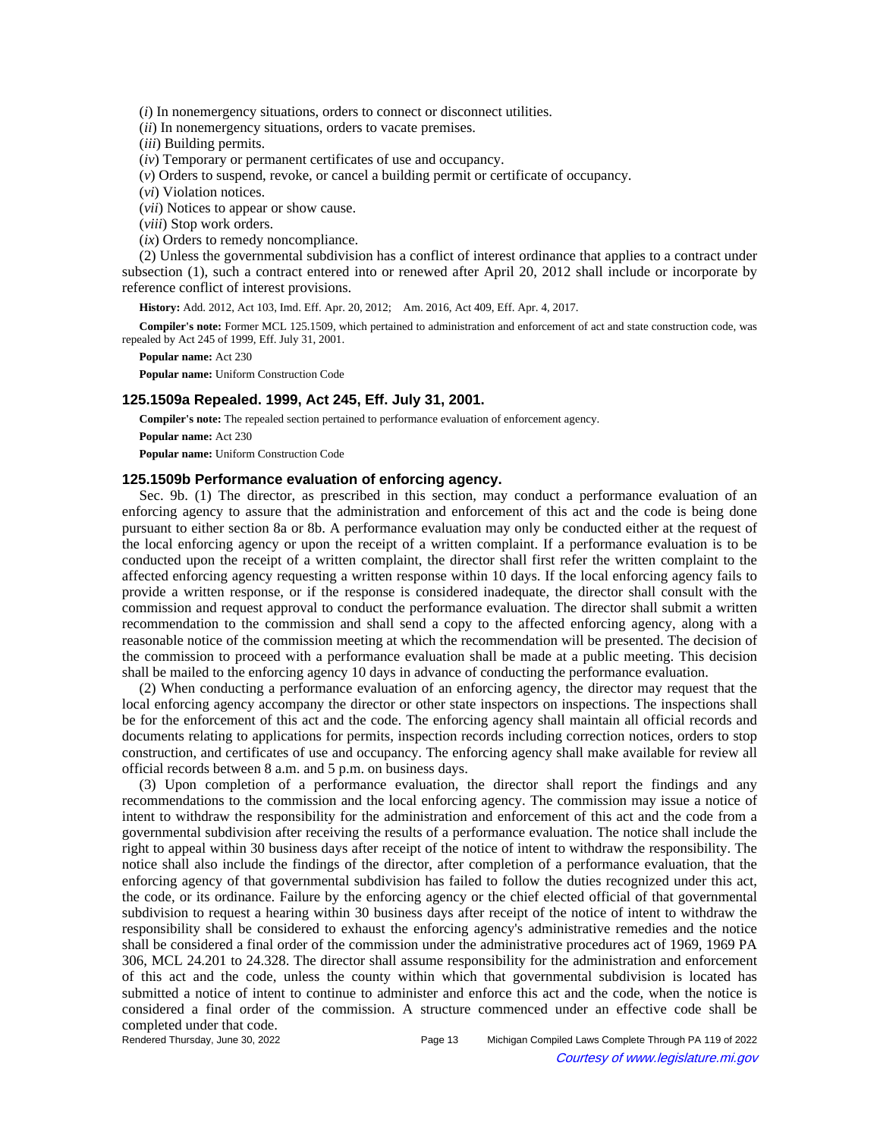(*i*) In nonemergency situations, orders to connect or disconnect utilities.

(*ii*) In nonemergency situations, orders to vacate premises.

(*iii*) Building permits.

(*iv*) Temporary or permanent certificates of use and occupancy.

(*v*) Orders to suspend, revoke, or cancel a building permit or certificate of occupancy.

(*vi*) Violation notices.

(*vii*) Notices to appear or show cause.

(*viii*) Stop work orders.

(*ix*) Orders to remedy noncompliance.

(2) Unless the governmental subdivision has a conflict of interest ordinance that applies to a contract under subsection (1), such a contract entered into or renewed after April 20, 2012 shall include or incorporate by reference conflict of interest provisions.

**History:** Add. 2012, Act 103, Imd. Eff. Apr. 20, 2012;—Am. 2016, Act 409, Eff. Apr. 4, 2017.

**Compiler's note:** Former MCL 125.1509, which pertained to administration and enforcement of act and state construction code, was repealed by Act 245 of 1999, Eff. July 31, 2001.

**Popular name:** Act 230

**Popular name:** Uniform Construction Code

### **125.1509a Repealed. 1999, Act 245, Eff. July 31, 2001.**

**Compiler's note:** The repealed section pertained to performance evaluation of enforcement agency.

**Popular name:** Act 230

**Popular name:** Uniform Construction Code

### **125.1509b Performance evaluation of enforcing agency.**

Sec. 9b. (1) The director, as prescribed in this section, may conduct a performance evaluation of an enforcing agency to assure that the administration and enforcement of this act and the code is being done pursuant to either section 8a or 8b. A performance evaluation may only be conducted either at the request of the local enforcing agency or upon the receipt of a written complaint. If a performance evaluation is to be conducted upon the receipt of a written complaint, the director shall first refer the written complaint to the affected enforcing agency requesting a written response within 10 days. If the local enforcing agency fails to provide a written response, or if the response is considered inadequate, the director shall consult with the commission and request approval to conduct the performance evaluation. The director shall submit a written recommendation to the commission and shall send a copy to the affected enforcing agency, along with a reasonable notice of the commission meeting at which the recommendation will be presented. The decision of the commission to proceed with a performance evaluation shall be made at a public meeting. This decision shall be mailed to the enforcing agency 10 days in advance of conducting the performance evaluation.

(2) When conducting a performance evaluation of an enforcing agency, the director may request that the local enforcing agency accompany the director or other state inspectors on inspections. The inspections shall be for the enforcement of this act and the code. The enforcing agency shall maintain all official records and documents relating to applications for permits, inspection records including correction notices, orders to stop construction, and certificates of use and occupancy. The enforcing agency shall make available for review all official records between 8 a.m. and 5 p.m. on business days.

(3) Upon completion of a performance evaluation, the director shall report the findings and any recommendations to the commission and the local enforcing agency. The commission may issue a notice of intent to withdraw the responsibility for the administration and enforcement of this act and the code from a governmental subdivision after receiving the results of a performance evaluation. The notice shall include the right to appeal within 30 business days after receipt of the notice of intent to withdraw the responsibility. The notice shall also include the findings of the director, after completion of a performance evaluation, that the enforcing agency of that governmental subdivision has failed to follow the duties recognized under this act, the code, or its ordinance. Failure by the enforcing agency or the chief elected official of that governmental subdivision to request a hearing within 30 business days after receipt of the notice of intent to withdraw the responsibility shall be considered to exhaust the enforcing agency's administrative remedies and the notice shall be considered a final order of the commission under the administrative procedures act of 1969, 1969 PA 306, MCL 24.201 to 24.328. The director shall assume responsibility for the administration and enforcement of this act and the code, unless the county within which that governmental subdivision is located has submitted a notice of intent to continue to administer and enforce this act and the code, when the notice is considered a final order of the commission. A structure commenced under an effective code shall be completed under that code.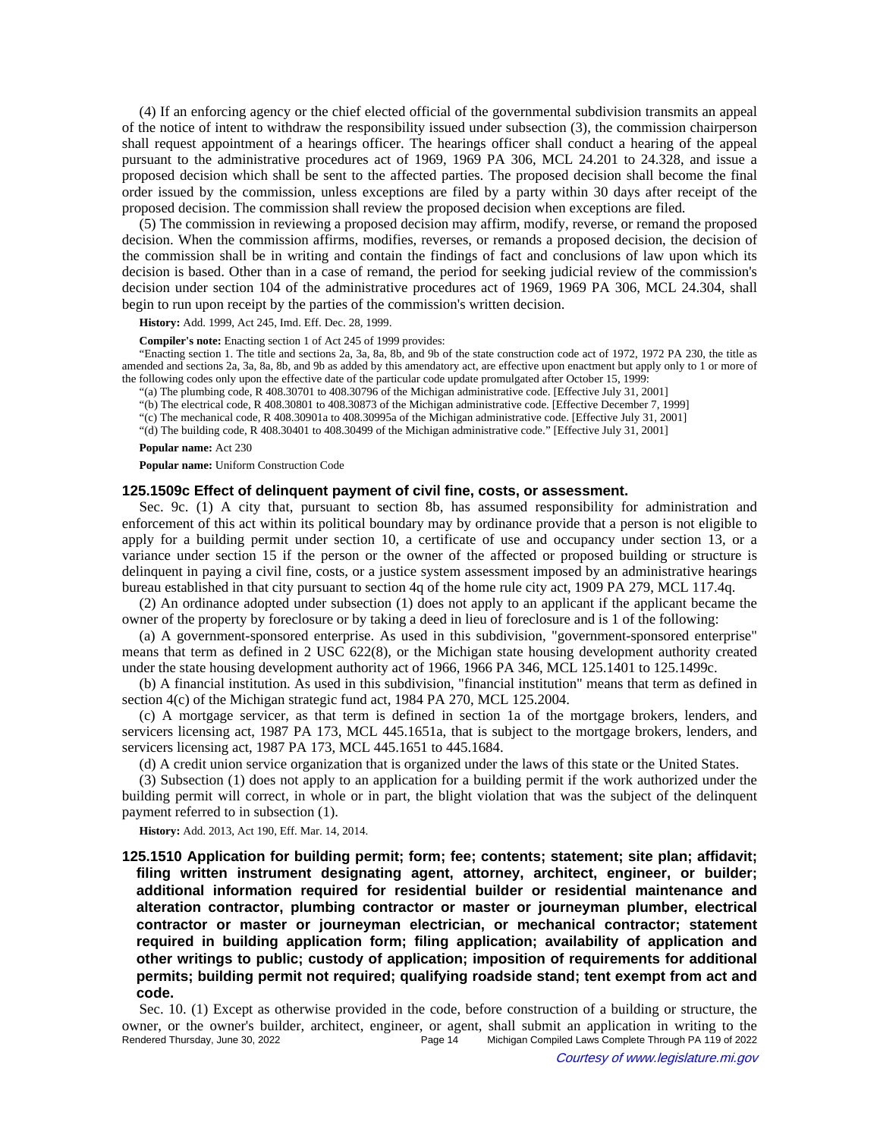(4) If an enforcing agency or the chief elected official of the governmental subdivision transmits an appeal of the notice of intent to withdraw the responsibility issued under subsection (3), the commission chairperson shall request appointment of a hearings officer. The hearings officer shall conduct a hearing of the appeal pursuant to the administrative procedures act of 1969, 1969 PA 306, MCL 24.201 to 24.328, and issue a proposed decision which shall be sent to the affected parties. The proposed decision shall become the final order issued by the commission, unless exceptions are filed by a party within 30 days after receipt of the proposed decision. The commission shall review the proposed decision when exceptions are filed.

(5) The commission in reviewing a proposed decision may affirm, modify, reverse, or remand the proposed decision. When the commission affirms, modifies, reverses, or remands a proposed decision, the decision of the commission shall be in writing and contain the findings of fact and conclusions of law upon which its decision is based. Other than in a case of remand, the period for seeking judicial review of the commission's decision under section 104 of the administrative procedures act of 1969, 1969 PA 306, MCL 24.304, shall begin to run upon receipt by the parties of the commission's written decision.

**History:** Add. 1999, Act 245, Imd. Eff. Dec. 28, 1999.

**Compiler's note:** Enacting section 1 of Act 245 of 1999 provides:

"Enacting section 1. The title and sections 2a, 3a, 8a, 8b, and 9b of the state construction code act of 1972, 1972 PA 230, the title as amended and sections 2a, 3a, 8a, 8b, and 9b as added by this amendatory act, are effective upon enactment but apply only to 1 or more of the following codes only upon the effective date of the particular code update promulgated after October 15, 1999:

"(a) The plumbing code, R 408.30701 to 408.30796 of the Michigan administrative code. [Effective July 31, 2001]

"(b) The electrical code, R 408.30801 to 408.30873 of the Michigan administrative code. [Effective December 7, 1999]

"(c) The mechanical code, R 408.30901a to 408.30995a of the Michigan administrative code. [Effective July 31, 2001]

"(d) The building code, R 408.30401 to 408.30499 of the Michigan administrative code." [Effective July 31, 2001]

#### **Popular name:** Act 230

**Popular name:** Uniform Construction Code

#### **125.1509c Effect of delinquent payment of civil fine, costs, or assessment.**

Sec. 9c. (1) A city that, pursuant to section 8b, has assumed responsibility for administration and enforcement of this act within its political boundary may by ordinance provide that a person is not eligible to apply for a building permit under section 10, a certificate of use and occupancy under section 13, or a variance under section 15 if the person or the owner of the affected or proposed building or structure is delinquent in paying a civil fine, costs, or a justice system assessment imposed by an administrative hearings bureau established in that city pursuant to section 4q of the home rule city act, 1909 PA 279, MCL 117.4q.

(2) An ordinance adopted under subsection (1) does not apply to an applicant if the applicant became the owner of the property by foreclosure or by taking a deed in lieu of foreclosure and is 1 of the following:

(a) A government-sponsored enterprise. As used in this subdivision, "government-sponsored enterprise" means that term as defined in 2 USC 622(8), or the Michigan state housing development authority created under the state housing development authority act of 1966, 1966 PA 346, MCL 125.1401 to 125.1499c.

(b) A financial institution. As used in this subdivision, "financial institution" means that term as defined in section 4(c) of the Michigan strategic fund act, 1984 PA 270, MCL 125.2004.

(c) A mortgage servicer, as that term is defined in section 1a of the mortgage brokers, lenders, and servicers licensing act, 1987 PA 173, MCL 445.1651a, that is subject to the mortgage brokers, lenders, and servicers licensing act, 1987 PA 173, MCL 445.1651 to 445.1684.

(d) A credit union service organization that is organized under the laws of this state or the United States.

(3) Subsection (1) does not apply to an application for a building permit if the work authorized under the building permit will correct, in whole or in part, the blight violation that was the subject of the delinquent payment referred to in subsection (1).

**History:** Add. 2013, Act 190, Eff. Mar. 14, 2014.

**125.1510 Application for building permit; form; fee; contents; statement; site plan; affidavit; filing written instrument designating agent, attorney, architect, engineer, or builder; additional information required for residential builder or residential maintenance and alteration contractor, plumbing contractor or master or journeyman plumber, electrical contractor or master or journeyman electrician, or mechanical contractor; statement required in building application form; filing application; availability of application and other writings to public; custody of application; imposition of requirements for additional permits; building permit not required; qualifying roadside stand; tent exempt from act and code.**

Sec. 10. (1) Except as otherwise provided in the code, before construction of a building or structure, the owner, or the owner's builder, architect, engineer, or agent, shall submit an application in writing to the Rendered Thursday, June 30, 2022 Page 14 Michigan Compiled Laws Complete Through PA 119 of 2022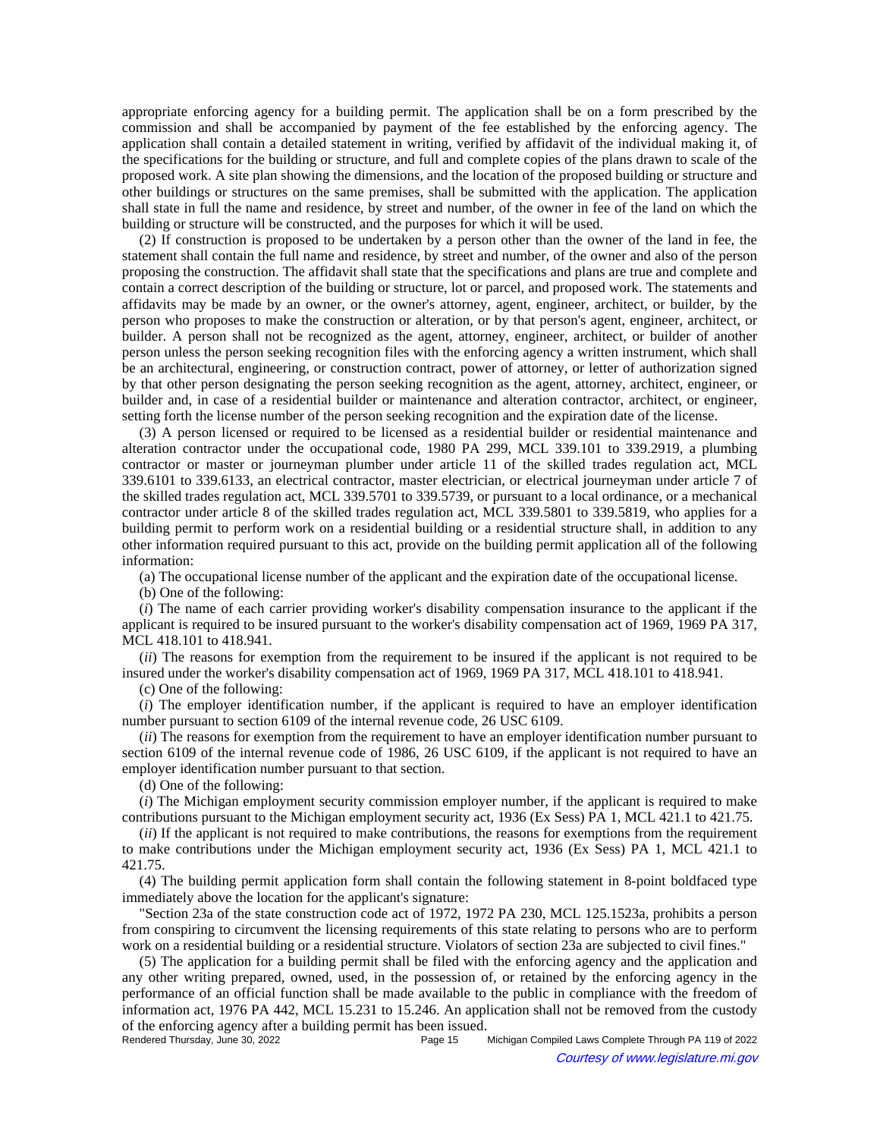appropriate enforcing agency for a building permit. The application shall be on a form prescribed by the commission and shall be accompanied by payment of the fee established by the enforcing agency. The application shall contain a detailed statement in writing, verified by affidavit of the individual making it, of the specifications for the building or structure, and full and complete copies of the plans drawn to scale of the proposed work. A site plan showing the dimensions, and the location of the proposed building or structure and other buildings or structures on the same premises, shall be submitted with the application. The application shall state in full the name and residence, by street and number, of the owner in fee of the land on which the building or structure will be constructed, and the purposes for which it will be used.

(2) If construction is proposed to be undertaken by a person other than the owner of the land in fee, the statement shall contain the full name and residence, by street and number, of the owner and also of the person proposing the construction. The affidavit shall state that the specifications and plans are true and complete and contain a correct description of the building or structure, lot or parcel, and proposed work. The statements and affidavits may be made by an owner, or the owner's attorney, agent, engineer, architect, or builder, by the person who proposes to make the construction or alteration, or by that person's agent, engineer, architect, or builder. A person shall not be recognized as the agent, attorney, engineer, architect, or builder of another person unless the person seeking recognition files with the enforcing agency a written instrument, which shall be an architectural, engineering, or construction contract, power of attorney, or letter of authorization signed by that other person designating the person seeking recognition as the agent, attorney, architect, engineer, or builder and, in case of a residential builder or maintenance and alteration contractor, architect, or engineer, setting forth the license number of the person seeking recognition and the expiration date of the license.

(3) A person licensed or required to be licensed as a residential builder or residential maintenance and alteration contractor under the occupational code, 1980 PA 299, MCL 339.101 to 339.2919, a plumbing contractor or master or journeyman plumber under article 11 of the skilled trades regulation act, MCL 339.6101 to 339.6133, an electrical contractor, master electrician, or electrical journeyman under article 7 of the skilled trades regulation act, MCL 339.5701 to 339.5739, or pursuant to a local ordinance, or a mechanical contractor under article 8 of the skilled trades regulation act, MCL 339.5801 to 339.5819, who applies for a building permit to perform work on a residential building or a residential structure shall, in addition to any other information required pursuant to this act, provide on the building permit application all of the following information:

(a) The occupational license number of the applicant and the expiration date of the occupational license.

(b) One of the following:

(*i*) The name of each carrier providing worker's disability compensation insurance to the applicant if the applicant is required to be insured pursuant to the worker's disability compensation act of 1969, 1969 PA 317, MCL 418.101 to 418.941.

(*ii*) The reasons for exemption from the requirement to be insured if the applicant is not required to be insured under the worker's disability compensation act of 1969, 1969 PA 317, MCL 418.101 to 418.941.

(c) One of the following:

(*i*) The employer identification number, if the applicant is required to have an employer identification number pursuant to section 6109 of the internal revenue code, 26 USC 6109.

(*ii*) The reasons for exemption from the requirement to have an employer identification number pursuant to section 6109 of the internal revenue code of 1986, 26 USC 6109, if the applicant is not required to have an employer identification number pursuant to that section.

(d) One of the following:

(*i*) The Michigan employment security commission employer number, if the applicant is required to make contributions pursuant to the Michigan employment security act, 1936 (Ex Sess) PA 1, MCL 421.1 to 421.75.

(*ii*) If the applicant is not required to make contributions, the reasons for exemptions from the requirement to make contributions under the Michigan employment security act, 1936 (Ex Sess) PA 1, MCL 421.1 to 421.75.

(4) The building permit application form shall contain the following statement in 8-point boldfaced type immediately above the location for the applicant's signature:

"Section 23a of the state construction code act of 1972, 1972 PA 230, MCL 125.1523a, prohibits a person from conspiring to circumvent the licensing requirements of this state relating to persons who are to perform work on a residential building or a residential structure. Violators of section 23a are subjected to civil fines."

(5) The application for a building permit shall be filed with the enforcing agency and the application and any other writing prepared, owned, used, in the possession of, or retained by the enforcing agency in the performance of an official function shall be made available to the public in compliance with the freedom of information act, 1976 PA 442, MCL 15.231 to 15.246. An application shall not be removed from the custody of the enforcing agency after a building permit has been issued.<br>Rendered Thursday, June 30, 2022

Michigan Compiled Laws Complete Through PA 119 of 2022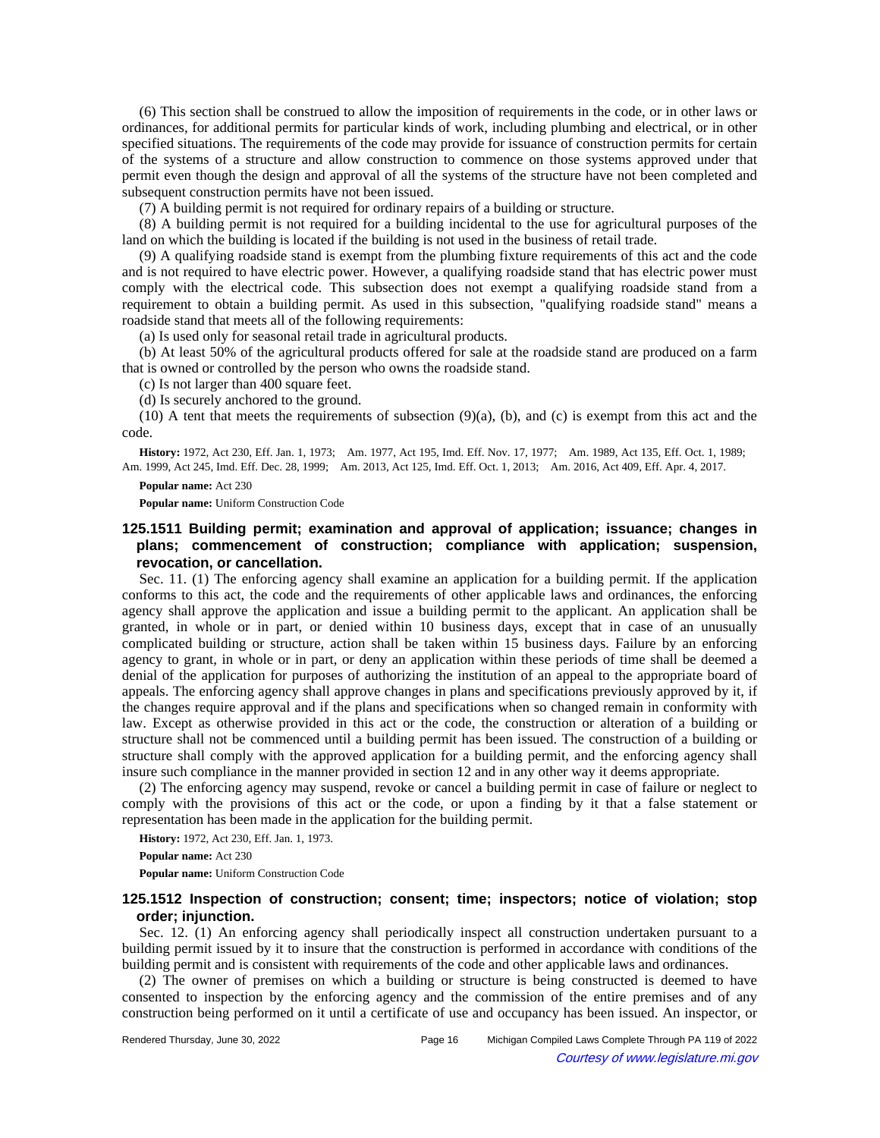(6) This section shall be construed to allow the imposition of requirements in the code, or in other laws or ordinances, for additional permits for particular kinds of work, including plumbing and electrical, or in other specified situations. The requirements of the code may provide for issuance of construction permits for certain of the systems of a structure and allow construction to commence on those systems approved under that permit even though the design and approval of all the systems of the structure have not been completed and subsequent construction permits have not been issued.

(7) A building permit is not required for ordinary repairs of a building or structure.

(8) A building permit is not required for a building incidental to the use for agricultural purposes of the land on which the building is located if the building is not used in the business of retail trade.

(9) A qualifying roadside stand is exempt from the plumbing fixture requirements of this act and the code and is not required to have electric power. However, a qualifying roadside stand that has electric power must comply with the electrical code. This subsection does not exempt a qualifying roadside stand from a requirement to obtain a building permit. As used in this subsection, "qualifying roadside stand" means a roadside stand that meets all of the following requirements:

(a) Is used only for seasonal retail trade in agricultural products.

(b) At least 50% of the agricultural products offered for sale at the roadside stand are produced on a farm that is owned or controlled by the person who owns the roadside stand.

(c) Is not larger than 400 square feet.

(d) Is securely anchored to the ground.

 $(10)$  A tent that meets the requirements of subsection  $(9)(a)$ ,  $(b)$ , and  $(c)$  is exempt from this act and the code.

History: 1972, Act 230, Eff. Jan. 1, 1973;—Am. 1977, Act 195, Imd. Eff. Nov. 17, 1977;—Am. 1989, Act 135, Eff. Oct. 1, 1989;— Am. 1999, Act 245, Imd. Eff. Dec. 28, 1999;—Am. 2013, Act 125, Imd. Eff. Oct. 1, 2013;—Am. 2016, Act 409, Eff. Apr. 4, 2017.

**Popular name:** Act 230

**Popular name:** Uniform Construction Code

# **125.1511 Building permit; examination and approval of application; issuance; changes in plans; commencement of construction; compliance with application; suspension, revocation, or cancellation.**

Sec. 11. (1) The enforcing agency shall examine an application for a building permit. If the application conforms to this act, the code and the requirements of other applicable laws and ordinances, the enforcing agency shall approve the application and issue a building permit to the applicant. An application shall be granted, in whole or in part, or denied within 10 business days, except that in case of an unusually complicated building or structure, action shall be taken within 15 business days. Failure by an enforcing agency to grant, in whole or in part, or deny an application within these periods of time shall be deemed a denial of the application for purposes of authorizing the institution of an appeal to the appropriate board of appeals. The enforcing agency shall approve changes in plans and specifications previously approved by it, if the changes require approval and if the plans and specifications when so changed remain in conformity with law. Except as otherwise provided in this act or the code, the construction or alteration of a building or structure shall not be commenced until a building permit has been issued. The construction of a building or structure shall comply with the approved application for a building permit, and the enforcing agency shall insure such compliance in the manner provided in section 12 and in any other way it deems appropriate.

(2) The enforcing agency may suspend, revoke or cancel a building permit in case of failure or neglect to comply with the provisions of this act or the code, or upon a finding by it that a false statement or representation has been made in the application for the building permit.

**History:** 1972, Act 230, Eff. Jan. 1, 1973.

**Popular name:** Act 230

**Popular name:** Uniform Construction Code

## **125.1512 Inspection of construction; consent; time; inspectors; notice of violation; stop order; injunction.**

Sec. 12. (1) An enforcing agency shall periodically inspect all construction undertaken pursuant to a building permit issued by it to insure that the construction is performed in accordance with conditions of the building permit and is consistent with requirements of the code and other applicable laws and ordinances.

(2) The owner of premises on which a building or structure is being constructed is deemed to have consented to inspection by the enforcing agency and the commission of the entire premises and of any construction being performed on it until a certificate of use and occupancy has been issued. An inspector, or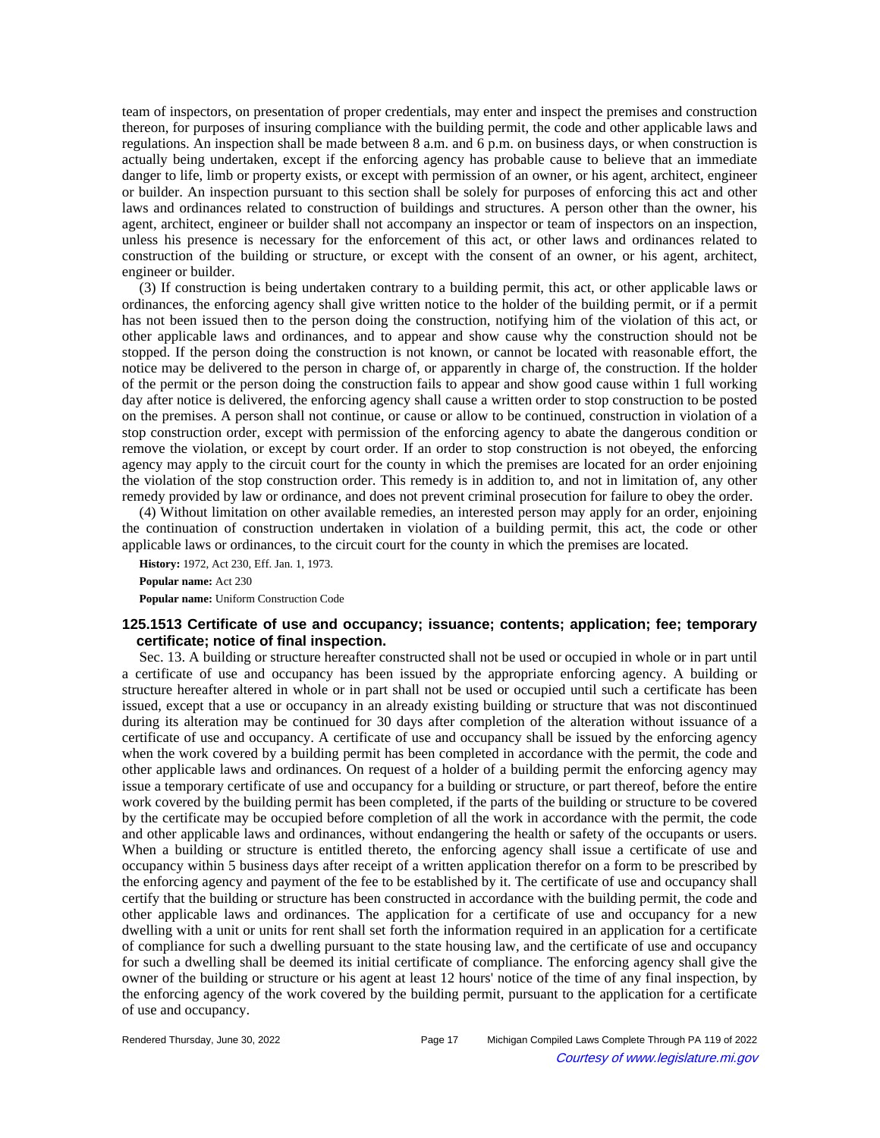team of inspectors, on presentation of proper credentials, may enter and inspect the premises and construction thereon, for purposes of insuring compliance with the building permit, the code and other applicable laws and regulations. An inspection shall be made between 8 a.m. and 6 p.m. on business days, or when construction is actually being undertaken, except if the enforcing agency has probable cause to believe that an immediate danger to life, limb or property exists, or except with permission of an owner, or his agent, architect, engineer or builder. An inspection pursuant to this section shall be solely for purposes of enforcing this act and other laws and ordinances related to construction of buildings and structures. A person other than the owner, his agent, architect, engineer or builder shall not accompany an inspector or team of inspectors on an inspection, unless his presence is necessary for the enforcement of this act, or other laws and ordinances related to construction of the building or structure, or except with the consent of an owner, or his agent, architect, engineer or builder.

(3) If construction is being undertaken contrary to a building permit, this act, or other applicable laws or ordinances, the enforcing agency shall give written notice to the holder of the building permit, or if a permit has not been issued then to the person doing the construction, notifying him of the violation of this act, or other applicable laws and ordinances, and to appear and show cause why the construction should not be stopped. If the person doing the construction is not known, or cannot be located with reasonable effort, the notice may be delivered to the person in charge of, or apparently in charge of, the construction. If the holder of the permit or the person doing the construction fails to appear and show good cause within 1 full working day after notice is delivered, the enforcing agency shall cause a written order to stop construction to be posted on the premises. A person shall not continue, or cause or allow to be continued, construction in violation of a stop construction order, except with permission of the enforcing agency to abate the dangerous condition or remove the violation, or except by court order. If an order to stop construction is not obeyed, the enforcing agency may apply to the circuit court for the county in which the premises are located for an order enjoining the violation of the stop construction order. This remedy is in addition to, and not in limitation of, any other remedy provided by law or ordinance, and does not prevent criminal prosecution for failure to obey the order.

(4) Without limitation on other available remedies, an interested person may apply for an order, enjoining the continuation of construction undertaken in violation of a building permit, this act, the code or other applicable laws or ordinances, to the circuit court for the county in which the premises are located.

**History:** 1972, Act 230, Eff. Jan. 1, 1973. **Popular name:** Act 230

**Popular name:** Uniform Construction Code

## **125.1513 Certificate of use and occupancy; issuance; contents; application; fee; temporary certificate; notice of final inspection.**

Sec. 13. A building or structure hereafter constructed shall not be used or occupied in whole or in part until a certificate of use and occupancy has been issued by the appropriate enforcing agency. A building or structure hereafter altered in whole or in part shall not be used or occupied until such a certificate has been issued, except that a use or occupancy in an already existing building or structure that was not discontinued during its alteration may be continued for 30 days after completion of the alteration without issuance of a certificate of use and occupancy. A certificate of use and occupancy shall be issued by the enforcing agency when the work covered by a building permit has been completed in accordance with the permit, the code and other applicable laws and ordinances. On request of a holder of a building permit the enforcing agency may issue a temporary certificate of use and occupancy for a building or structure, or part thereof, before the entire work covered by the building permit has been completed, if the parts of the building or structure to be covered by the certificate may be occupied before completion of all the work in accordance with the permit, the code and other applicable laws and ordinances, without endangering the health or safety of the occupants or users. When a building or structure is entitled thereto, the enforcing agency shall issue a certificate of use and occupancy within 5 business days after receipt of a written application therefor on a form to be prescribed by the enforcing agency and payment of the fee to be established by it. The certificate of use and occupancy shall certify that the building or structure has been constructed in accordance with the building permit, the code and other applicable laws and ordinances. The application for a certificate of use and occupancy for a new dwelling with a unit or units for rent shall set forth the information required in an application for a certificate of compliance for such a dwelling pursuant to the state housing law, and the certificate of use and occupancy for such a dwelling shall be deemed its initial certificate of compliance. The enforcing agency shall give the owner of the building or structure or his agent at least 12 hours' notice of the time of any final inspection, by the enforcing agency of the work covered by the building permit, pursuant to the application for a certificate of use and occupancy.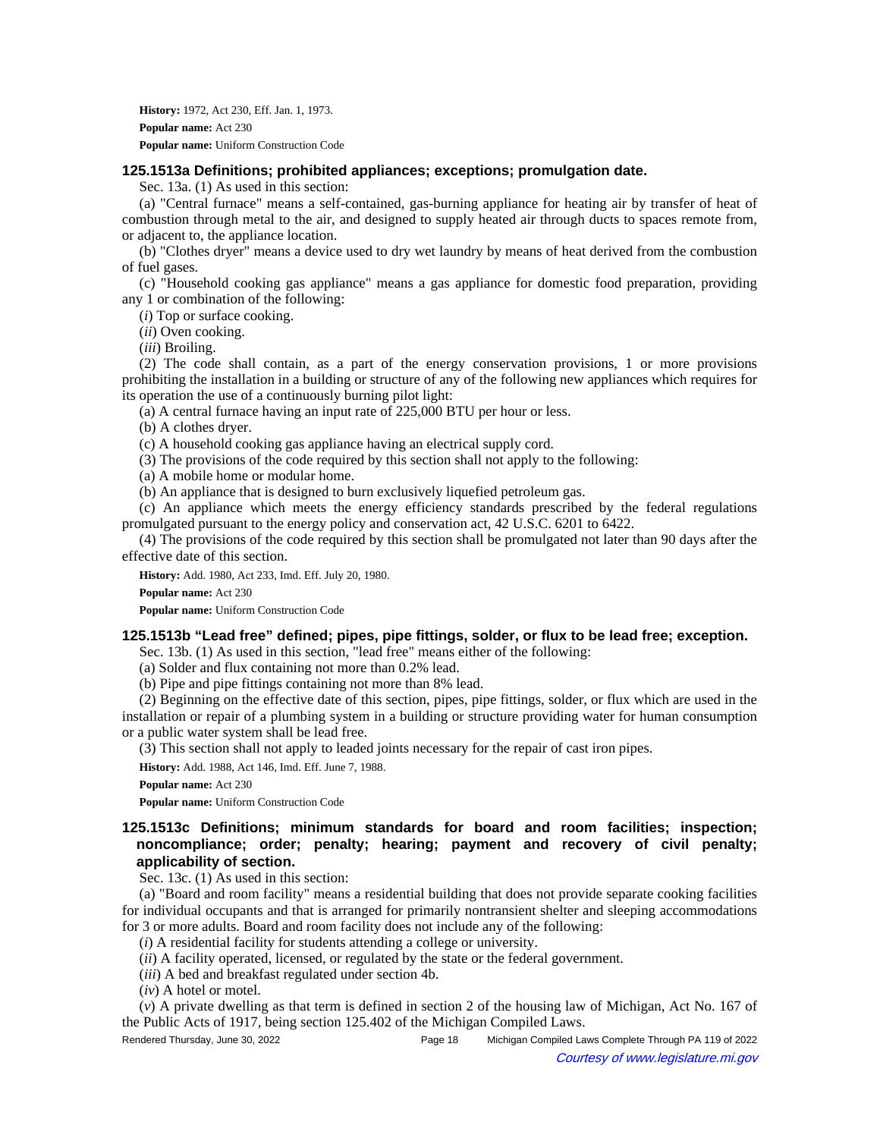**History:** 1972, Act 230, Eff. Jan. 1, 1973. **Popular name:** Act 230 **Popular name:** Uniform Construction Code

## **125.1513a Definitions; prohibited appliances; exceptions; promulgation date.**

Sec. 13a. (1) As used in this section:

(a) "Central furnace" means a self-contained, gas-burning appliance for heating air by transfer of heat of combustion through metal to the air, and designed to supply heated air through ducts to spaces remote from, or adjacent to, the appliance location.

(b) "Clothes dryer" means a device used to dry wet laundry by means of heat derived from the combustion of fuel gases.

(c) "Household cooking gas appliance" means a gas appliance for domestic food preparation, providing any 1 or combination of the following:

(*i*) Top or surface cooking.

(*ii*) Oven cooking.

(*iii*) Broiling.

(2) The code shall contain, as a part of the energy conservation provisions, 1 or more provisions prohibiting the installation in a building or structure of any of the following new appliances which requires for its operation the use of a continuously burning pilot light:

(a) A central furnace having an input rate of 225,000 BTU per hour or less.

(b) A clothes dryer.

(c) A household cooking gas appliance having an electrical supply cord.

(3) The provisions of the code required by this section shall not apply to the following:

(a) A mobile home or modular home.

(b) An appliance that is designed to burn exclusively liquefied petroleum gas.

(c) An appliance which meets the energy efficiency standards prescribed by the federal regulations promulgated pursuant to the energy policy and conservation act, 42 U.S.C. 6201 to 6422.

(4) The provisions of the code required by this section shall be promulgated not later than 90 days after the effective date of this section.

**History:** Add. 1980, Act 233, Imd. Eff. July 20, 1980.

**Popular name:** Act 230

**Popular name:** Uniform Construction Code

## **125.1513b "Lead free" defined; pipes, pipe fittings, solder, or flux to be lead free; exception.**

Sec. 13b. (1) As used in this section, "lead free" means either of the following:

(a) Solder and flux containing not more than 0.2% lead.

(b) Pipe and pipe fittings containing not more than 8% lead.

(2) Beginning on the effective date of this section, pipes, pipe fittings, solder, or flux which are used in the installation or repair of a plumbing system in a building or structure providing water for human consumption or a public water system shall be lead free.

(3) This section shall not apply to leaded joints necessary for the repair of cast iron pipes.

**History:** Add. 1988, Act 146, Imd. Eff. June 7, 1988.

**Popular name:** Act 230

**Popular name:** Uniform Construction Code

# **125.1513c Definitions; minimum standards for board and room facilities; inspection; noncompliance; order; penalty; hearing; payment and recovery of civil penalty; applicability of section.**

Sec. 13c. (1) As used in this section:

(a) "Board and room facility" means a residential building that does not provide separate cooking facilities for individual occupants and that is arranged for primarily nontransient shelter and sleeping accommodations for 3 or more adults. Board and room facility does not include any of the following:

(*i*) A residential facility for students attending a college or university.

(*ii*) A facility operated, licensed, or regulated by the state or the federal government.

(*iii*) A bed and breakfast regulated under section 4b.

(*iv*) A hotel or motel.

(*v*) A private dwelling as that term is defined in section 2 of the housing law of Michigan, Act No. 167 of the Public Acts of 1917, being section 125.402 of the Michigan Compiled Laws.

Rendered Thursday, June 30, 2022 Page 18 Michigan Compiled Laws Complete Through PA 119 of 2022 Courtesy of www.legislature.mi.gov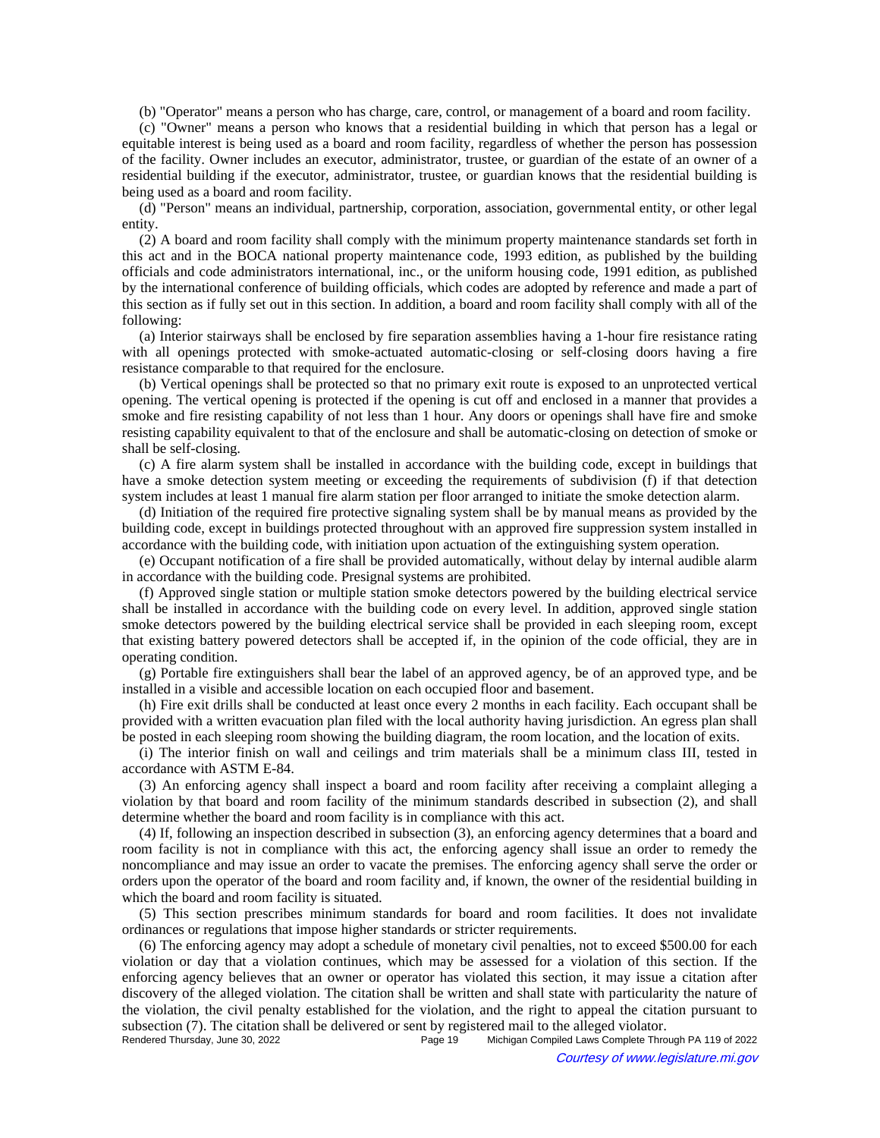(b) "Operator" means a person who has charge, care, control, or management of a board and room facility.

(c) "Owner" means a person who knows that a residential building in which that person has a legal or equitable interest is being used as a board and room facility, regardless of whether the person has possession of the facility. Owner includes an executor, administrator, trustee, or guardian of the estate of an owner of a residential building if the executor, administrator, trustee, or guardian knows that the residential building is being used as a board and room facility.

(d) "Person" means an individual, partnership, corporation, association, governmental entity, or other legal entity.

(2) A board and room facility shall comply with the minimum property maintenance standards set forth in this act and in the BOCA national property maintenance code, 1993 edition, as published by the building officials and code administrators international, inc., or the uniform housing code, 1991 edition, as published by the international conference of building officials, which codes are adopted by reference and made a part of this section as if fully set out in this section. In addition, a board and room facility shall comply with all of the following:

(a) Interior stairways shall be enclosed by fire separation assemblies having a 1-hour fire resistance rating with all openings protected with smoke-actuated automatic-closing or self-closing doors having a fire resistance comparable to that required for the enclosure.

(b) Vertical openings shall be protected so that no primary exit route is exposed to an unprotected vertical opening. The vertical opening is protected if the opening is cut off and enclosed in a manner that provides a smoke and fire resisting capability of not less than 1 hour. Any doors or openings shall have fire and smoke resisting capability equivalent to that of the enclosure and shall be automatic-closing on detection of smoke or shall be self-closing.

(c) A fire alarm system shall be installed in accordance with the building code, except in buildings that have a smoke detection system meeting or exceeding the requirements of subdivision (f) if that detection system includes at least 1 manual fire alarm station per floor arranged to initiate the smoke detection alarm.

(d) Initiation of the required fire protective signaling system shall be by manual means as provided by the building code, except in buildings protected throughout with an approved fire suppression system installed in accordance with the building code, with initiation upon actuation of the extinguishing system operation.

(e) Occupant notification of a fire shall be provided automatically, without delay by internal audible alarm in accordance with the building code. Presignal systems are prohibited.

(f) Approved single station or multiple station smoke detectors powered by the building electrical service shall be installed in accordance with the building code on every level. In addition, approved single station smoke detectors powered by the building electrical service shall be provided in each sleeping room, except that existing battery powered detectors shall be accepted if, in the opinion of the code official, they are in operating condition.

(g) Portable fire extinguishers shall bear the label of an approved agency, be of an approved type, and be installed in a visible and accessible location on each occupied floor and basement.

(h) Fire exit drills shall be conducted at least once every 2 months in each facility. Each occupant shall be provided with a written evacuation plan filed with the local authority having jurisdiction. An egress plan shall be posted in each sleeping room showing the building diagram, the room location, and the location of exits.

(i) The interior finish on wall and ceilings and trim materials shall be a minimum class III, tested in accordance with ASTM E-84.

(3) An enforcing agency shall inspect a board and room facility after receiving a complaint alleging a violation by that board and room facility of the minimum standards described in subsection (2), and shall determine whether the board and room facility is in compliance with this act.

(4) If, following an inspection described in subsection (3), an enforcing agency determines that a board and room facility is not in compliance with this act, the enforcing agency shall issue an order to remedy the noncompliance and may issue an order to vacate the premises. The enforcing agency shall serve the order or orders upon the operator of the board and room facility and, if known, the owner of the residential building in which the board and room facility is situated.

(5) This section prescribes minimum standards for board and room facilities. It does not invalidate ordinances or regulations that impose higher standards or stricter requirements.

(6) The enforcing agency may adopt a schedule of monetary civil penalties, not to exceed \$500.00 for each violation or day that a violation continues, which may be assessed for a violation of this section. If the enforcing agency believes that an owner or operator has violated this section, it may issue a citation after discovery of the alleged violation. The citation shall be written and shall state with particularity the nature of the violation, the civil penalty established for the violation, and the right to appeal the citation pursuant to subsection (7). The citation shall be delivered or sent by registered mail to the alleged violator.<br>Page 19 Michigan Compiled Laws Complete Thro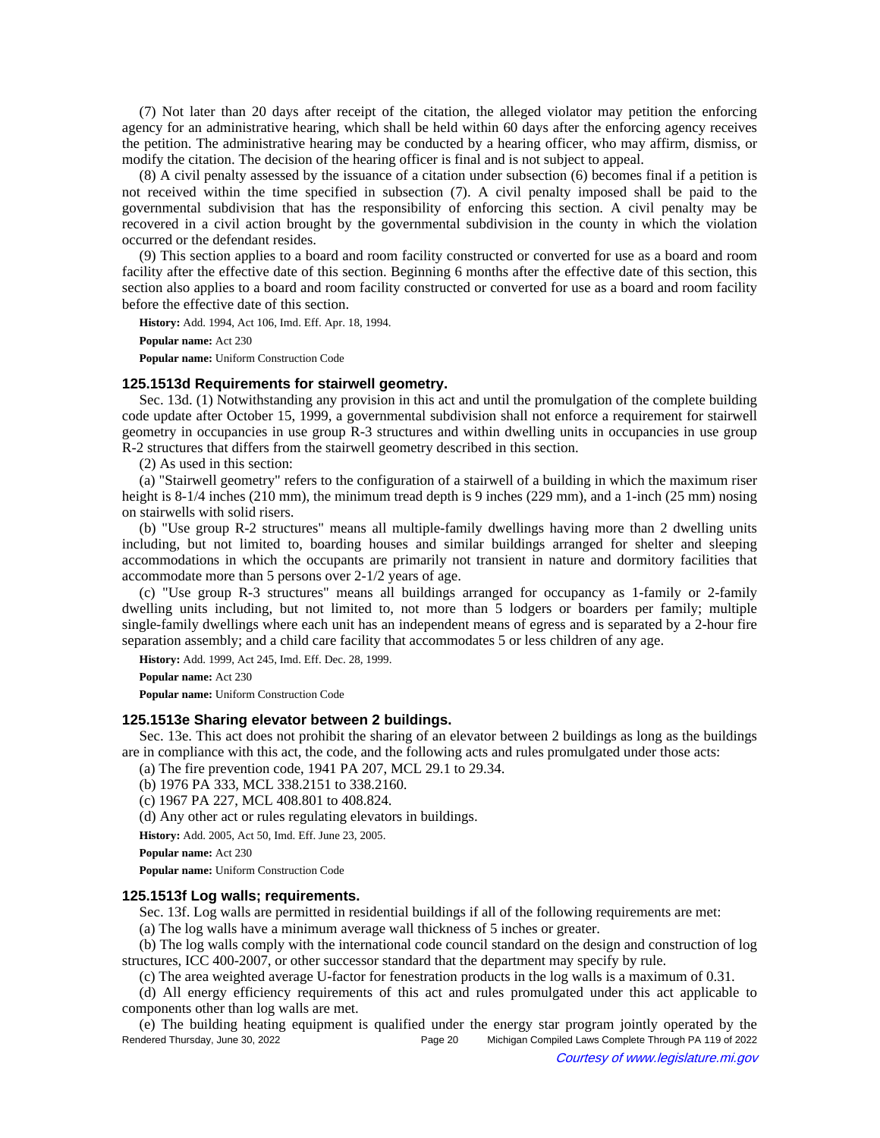(7) Not later than 20 days after receipt of the citation, the alleged violator may petition the enforcing agency for an administrative hearing, which shall be held within 60 days after the enforcing agency receives the petition. The administrative hearing may be conducted by a hearing officer, who may affirm, dismiss, or modify the citation. The decision of the hearing officer is final and is not subject to appeal.

(8) A civil penalty assessed by the issuance of a citation under subsection (6) becomes final if a petition is not received within the time specified in subsection (7). A civil penalty imposed shall be paid to the governmental subdivision that has the responsibility of enforcing this section. A civil penalty may be recovered in a civil action brought by the governmental subdivision in the county in which the violation occurred or the defendant resides.

(9) This section applies to a board and room facility constructed or converted for use as a board and room facility after the effective date of this section. Beginning 6 months after the effective date of this section, this section also applies to a board and room facility constructed or converted for use as a board and room facility before the effective date of this section.

**History:** Add. 1994, Act 106, Imd. Eff. Apr. 18, 1994.

**Popular name:** Act 230

**Popular name:** Uniform Construction Code

### **125.1513d Requirements for stairwell geometry.**

Sec. 13d. (1) Notwithstanding any provision in this act and until the promulgation of the complete building code update after October 15, 1999, a governmental subdivision shall not enforce a requirement for stairwell geometry in occupancies in use group R-3 structures and within dwelling units in occupancies in use group R-2 structures that differs from the stairwell geometry described in this section.

(2) As used in this section:

(a) "Stairwell geometry" refers to the configuration of a stairwell of a building in which the maximum riser height is 8-1/4 inches (210 mm), the minimum tread depth is 9 inches (229 mm), and a 1-inch (25 mm) nosing on stairwells with solid risers.

(b) "Use group R-2 structures" means all multiple-family dwellings having more than 2 dwelling units including, but not limited to, boarding houses and similar buildings arranged for shelter and sleeping accommodations in which the occupants are primarily not transient in nature and dormitory facilities that accommodate more than 5 persons over 2-1/2 years of age.

(c) "Use group R-3 structures" means all buildings arranged for occupancy as 1-family or 2-family dwelling units including, but not limited to, not more than 5 lodgers or boarders per family; multiple single-family dwellings where each unit has an independent means of egress and is separated by a 2-hour fire separation assembly; and a child care facility that accommodates 5 or less children of any age.

**History:** Add. 1999, Act 245, Imd. Eff. Dec. 28, 1999.

**Popular name:** Act 230

**Popular name:** Uniform Construction Code

## **125.1513e Sharing elevator between 2 buildings.**

Sec. 13e. This act does not prohibit the sharing of an elevator between 2 buildings as long as the buildings are in compliance with this act, the code, and the following acts and rules promulgated under those acts:

(a) The fire prevention code, 1941 PA 207, MCL 29.1 to 29.34.

(b) 1976 PA 333, MCL 338.2151 to 338.2160.

(c) 1967 PA 227, MCL 408.801 to 408.824.

(d) Any other act or rules regulating elevators in buildings.

**History:** Add. 2005, Act 50, Imd. Eff. June 23, 2005.

**Popular name:** Act 230

**Popular name:** Uniform Construction Code

### **125.1513f Log walls; requirements.**

Sec. 13f. Log walls are permitted in residential buildings if all of the following requirements are met:

(a) The log walls have a minimum average wall thickness of 5 inches or greater.

(b) The log walls comply with the international code council standard on the design and construction of log structures, ICC 400-2007, or other successor standard that the department may specify by rule.

(c) The area weighted average U-factor for fenestration products in the log walls is a maximum of 0.31.

(d) All energy efficiency requirements of this act and rules promulgated under this act applicable to components other than log walls are met.

(e) The building heating equipment is qualified under the energy star program jointly operated by the Rendered Thursday, June 30, 2022 Page 20 Michigan Compiled Laws Complete Through PA 119 of 2022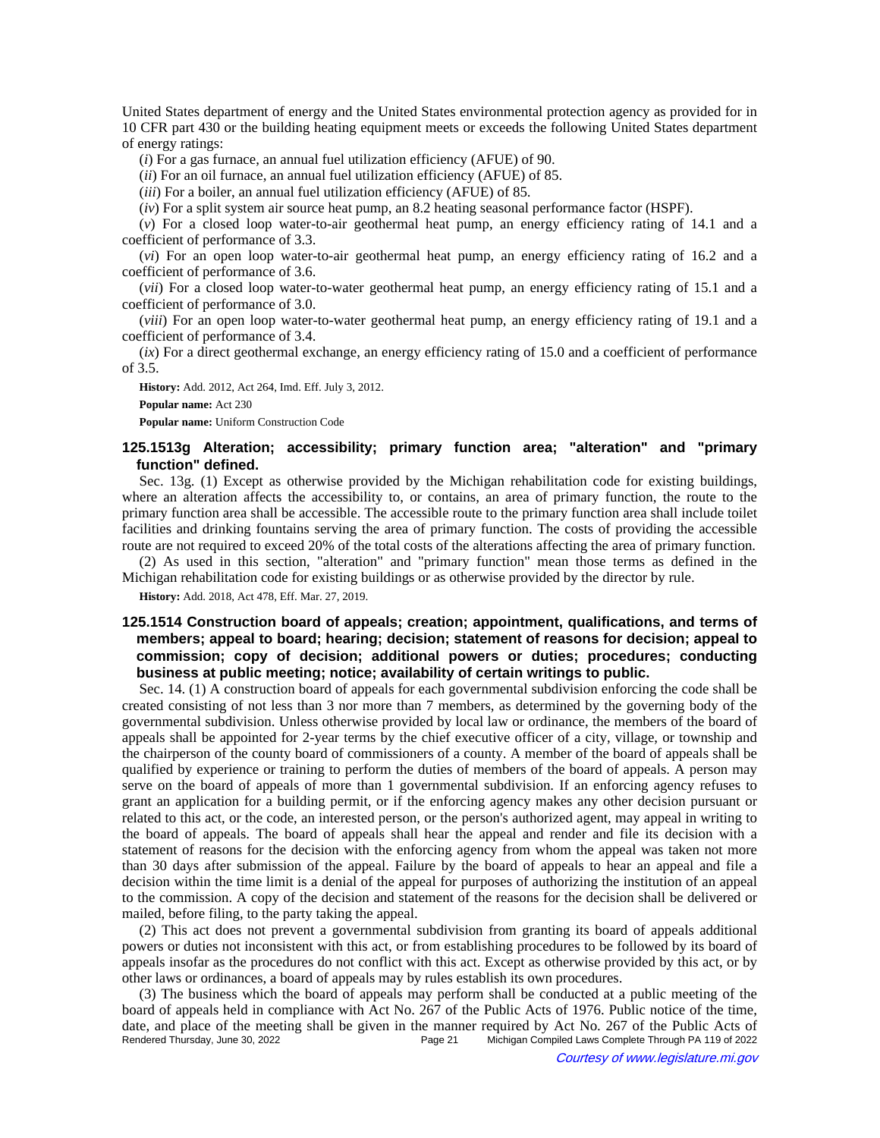United States department of energy and the United States environmental protection agency as provided for in 10 CFR part 430 or the building heating equipment meets or exceeds the following United States department of energy ratings:

(*i*) For a gas furnace, an annual fuel utilization efficiency (AFUE) of 90.

(*ii*) For an oil furnace, an annual fuel utilization efficiency (AFUE) of 85.

(*iii*) For a boiler, an annual fuel utilization efficiency (AFUE) of 85.

(*iv*) For a split system air source heat pump, an 8.2 heating seasonal performance factor (HSPF).

(*v*) For a closed loop water-to-air geothermal heat pump, an energy efficiency rating of 14.1 and a coefficient of performance of 3.3.

(*vi*) For an open loop water-to-air geothermal heat pump, an energy efficiency rating of 16.2 and a coefficient of performance of 3.6.

(*vii*) For a closed loop water-to-water geothermal heat pump, an energy efficiency rating of 15.1 and a coefficient of performance of 3.0.

(*viii*) For an open loop water-to-water geothermal heat pump, an energy efficiency rating of 19.1 and a coefficient of performance of 3.4.

(*ix*) For a direct geothermal exchange, an energy efficiency rating of 15.0 and a coefficient of performance of 3.5.

**History:** Add. 2012, Act 264, Imd. Eff. July 3, 2012. **Popular name:** Act 230

**Popular name:** Uniform Construction Code

# **125.1513g Alteration; accessibility; primary function area; "alteration" and "primary function" defined.**

Sec. 13g. (1) Except as otherwise provided by the Michigan rehabilitation code for existing buildings, where an alteration affects the accessibility to, or contains, an area of primary function, the route to the primary function area shall be accessible. The accessible route to the primary function area shall include toilet facilities and drinking fountains serving the area of primary function. The costs of providing the accessible route are not required to exceed 20% of the total costs of the alterations affecting the area of primary function.

(2) As used in this section, "alteration" and "primary function" mean those terms as defined in the Michigan rehabilitation code for existing buildings or as otherwise provided by the director by rule.

**History:** Add. 2018, Act 478, Eff. Mar. 27, 2019.

# **125.1514 Construction board of appeals; creation; appointment, qualifications, and terms of members; appeal to board; hearing; decision; statement of reasons for decision; appeal to commission; copy of decision; additional powers or duties; procedures; conducting business at public meeting; notice; availability of certain writings to public.**

Sec. 14. (1) A construction board of appeals for each governmental subdivision enforcing the code shall be created consisting of not less than 3 nor more than 7 members, as determined by the governing body of the governmental subdivision. Unless otherwise provided by local law or ordinance, the members of the board of appeals shall be appointed for 2-year terms by the chief executive officer of a city, village, or township and the chairperson of the county board of commissioners of a county. A member of the board of appeals shall be qualified by experience or training to perform the duties of members of the board of appeals. A person may serve on the board of appeals of more than 1 governmental subdivision. If an enforcing agency refuses to grant an application for a building permit, or if the enforcing agency makes any other decision pursuant or related to this act, or the code, an interested person, or the person's authorized agent, may appeal in writing to the board of appeals. The board of appeals shall hear the appeal and render and file its decision with a statement of reasons for the decision with the enforcing agency from whom the appeal was taken not more than 30 days after submission of the appeal. Failure by the board of appeals to hear an appeal and file a decision within the time limit is a denial of the appeal for purposes of authorizing the institution of an appeal to the commission. A copy of the decision and statement of the reasons for the decision shall be delivered or mailed, before filing, to the party taking the appeal.

(2) This act does not prevent a governmental subdivision from granting its board of appeals additional powers or duties not inconsistent with this act, or from establishing procedures to be followed by its board of appeals insofar as the procedures do not conflict with this act. Except as otherwise provided by this act, or by other laws or ordinances, a board of appeals may by rules establish its own procedures.

(3) The business which the board of appeals may perform shall be conducted at a public meeting of the board of appeals held in compliance with Act No. 267 of the Public Acts of 1976. Public notice of the time, date, and place of the meeting shall be given in the manner required by Act No. 267 of the Public Acts of Rendered Thursday, June 30, 2022<br>Page 21 Michigan Compiled Laws Complete Through PA 119 of 2022 Michigan Compiled Laws Complete Through PA 119 of 2022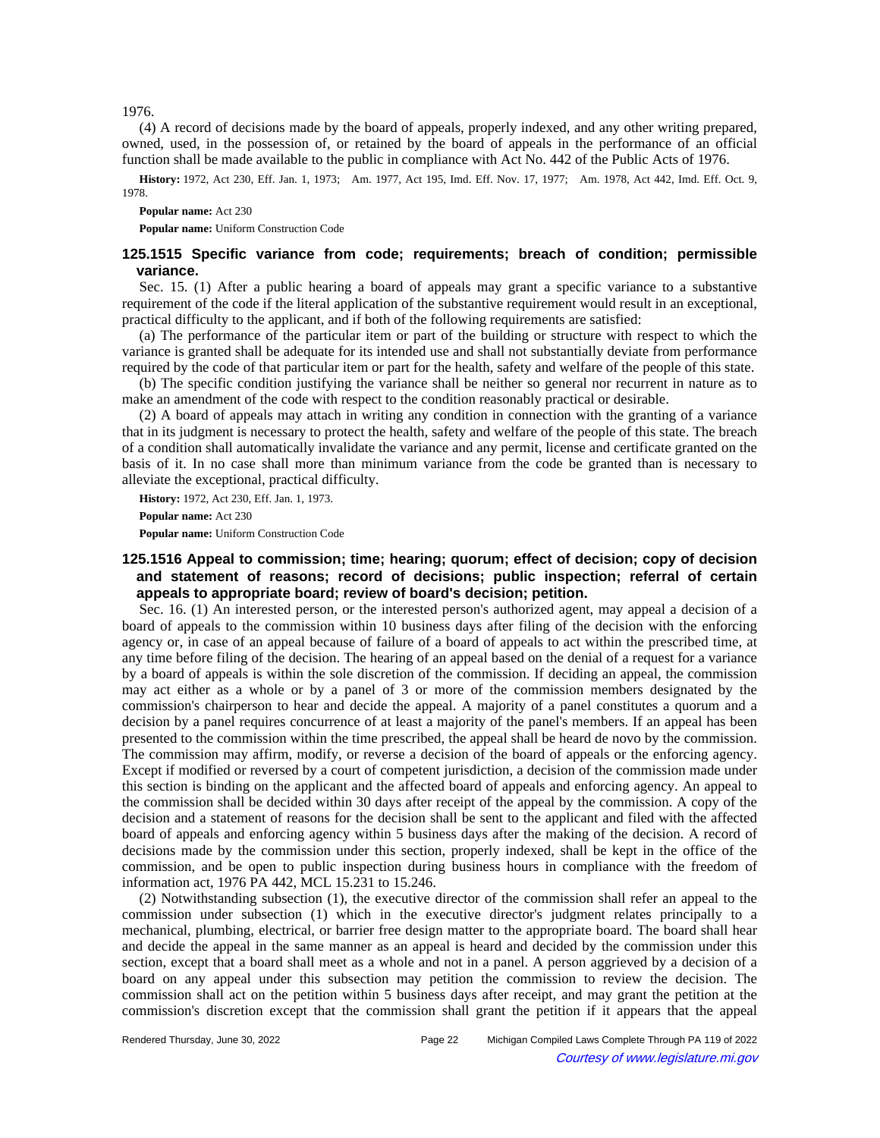1976.

(4) A record of decisions made by the board of appeals, properly indexed, and any other writing prepared, owned, used, in the possession of, or retained by the board of appeals in the performance of an official function shall be made available to the public in compliance with Act No. 442 of the Public Acts of 1976.

History: 1972, Act 230, Eff. Jan. 1, 1973;—Am. 1977, Act 195, Imd. Eff. Nov. 17, 1977;—Am. 1978, Act 442, Imd. Eff. Oct. 9, 1978.

**Popular name:** Act 230

**Popular name:** Uniform Construction Code

## **125.1515 Specific variance from code; requirements; breach of condition; permissible variance.**

Sec. 15. (1) After a public hearing a board of appeals may grant a specific variance to a substantive requirement of the code if the literal application of the substantive requirement would result in an exceptional, practical difficulty to the applicant, and if both of the following requirements are satisfied:

(a) The performance of the particular item or part of the building or structure with respect to which the variance is granted shall be adequate for its intended use and shall not substantially deviate from performance required by the code of that particular item or part for the health, safety and welfare of the people of this state.

(b) The specific condition justifying the variance shall be neither so general nor recurrent in nature as to make an amendment of the code with respect to the condition reasonably practical or desirable.

(2) A board of appeals may attach in writing any condition in connection with the granting of a variance that in its judgment is necessary to protect the health, safety and welfare of the people of this state. The breach of a condition shall automatically invalidate the variance and any permit, license and certificate granted on the basis of it. In no case shall more than minimum variance from the code be granted than is necessary to alleviate the exceptional, practical difficulty.

**History:** 1972, Act 230, Eff. Jan. 1, 1973.

**Popular name:** Act 230

**Popular name:** Uniform Construction Code

# **125.1516 Appeal to commission; time; hearing; quorum; effect of decision; copy of decision and statement of reasons; record of decisions; public inspection; referral of certain appeals to appropriate board; review of board's decision; petition.**

Sec. 16. (1) An interested person, or the interested person's authorized agent, may appeal a decision of a board of appeals to the commission within 10 business days after filing of the decision with the enforcing agency or, in case of an appeal because of failure of a board of appeals to act within the prescribed time, at any time before filing of the decision. The hearing of an appeal based on the denial of a request for a variance by a board of appeals is within the sole discretion of the commission. If deciding an appeal, the commission may act either as a whole or by a panel of 3 or more of the commission members designated by the commission's chairperson to hear and decide the appeal. A majority of a panel constitutes a quorum and a decision by a panel requires concurrence of at least a majority of the panel's members. If an appeal has been presented to the commission within the time prescribed, the appeal shall be heard de novo by the commission. The commission may affirm, modify, or reverse a decision of the board of appeals or the enforcing agency. Except if modified or reversed by a court of competent jurisdiction, a decision of the commission made under this section is binding on the applicant and the affected board of appeals and enforcing agency. An appeal to the commission shall be decided within 30 days after receipt of the appeal by the commission. A copy of the decision and a statement of reasons for the decision shall be sent to the applicant and filed with the affected board of appeals and enforcing agency within 5 business days after the making of the decision. A record of decisions made by the commission under this section, properly indexed, shall be kept in the office of the commission, and be open to public inspection during business hours in compliance with the freedom of information act, 1976 PA 442, MCL 15.231 to 15.246.

(2) Notwithstanding subsection (1), the executive director of the commission shall refer an appeal to the commission under subsection (1) which in the executive director's judgment relates principally to a mechanical, plumbing, electrical, or barrier free design matter to the appropriate board. The board shall hear and decide the appeal in the same manner as an appeal is heard and decided by the commission under this section, except that a board shall meet as a whole and not in a panel. A person aggrieved by a decision of a board on any appeal under this subsection may petition the commission to review the decision. The commission shall act on the petition within 5 business days after receipt, and may grant the petition at the commission's discretion except that the commission shall grant the petition if it appears that the appeal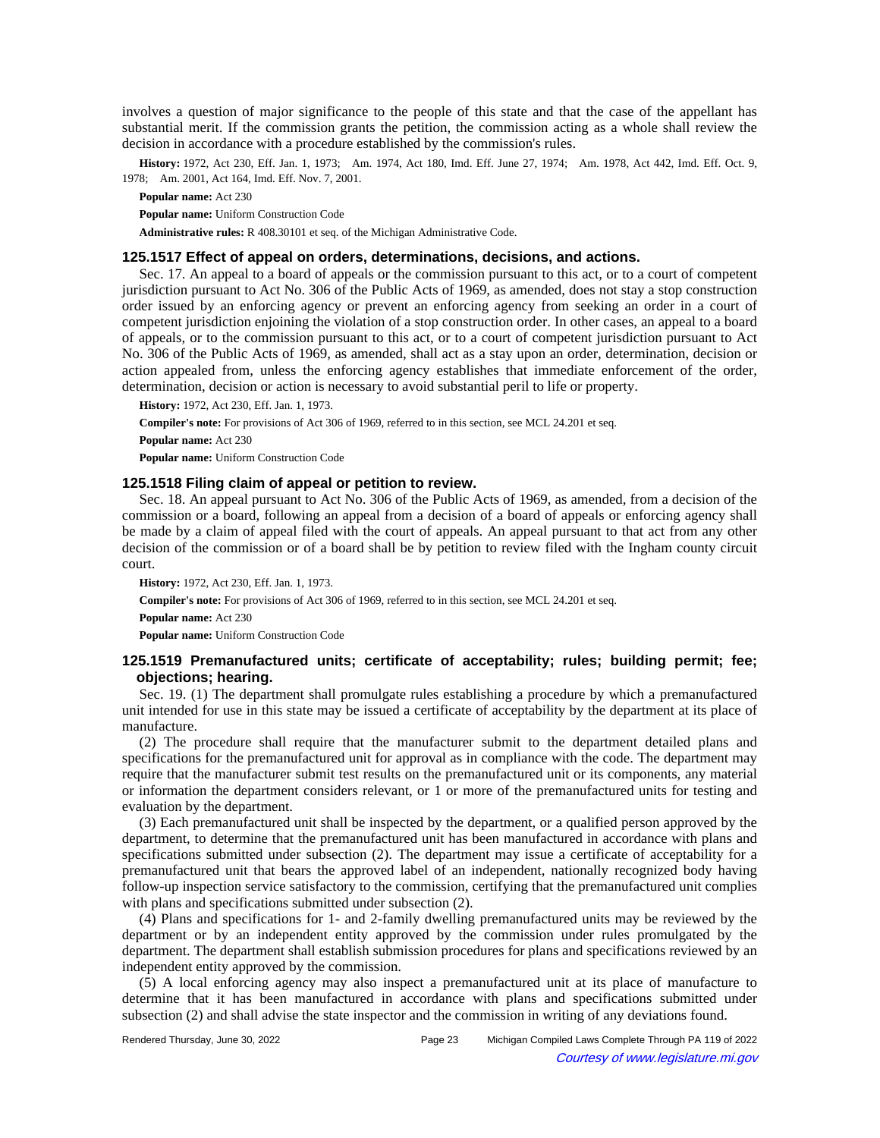involves a question of major significance to the people of this state and that the case of the appellant has substantial merit. If the commission grants the petition, the commission acting as a whole shall review the decision in accordance with a procedure established by the commission's rules.

History: 1972, Act 230, Eff. Jan. 1, 1973;—Am. 1974, Act 180, Imd. Eff. June 27, 1974;—Am. 1978, Act 442, Imd. Eff. Oct. 9, 1978; - Am. 2001, Act 164, Imd. Eff. Nov. 7, 2001.

**Popular name:** Act 230

**Popular name:** Uniform Construction Code

**Administrative rules:** R 408.30101 et seq. of the Michigan Administrative Code.

### **125.1517 Effect of appeal on orders, determinations, decisions, and actions.**

Sec. 17. An appeal to a board of appeals or the commission pursuant to this act, or to a court of competent jurisdiction pursuant to Act No. 306 of the Public Acts of 1969, as amended, does not stay a stop construction order issued by an enforcing agency or prevent an enforcing agency from seeking an order in a court of competent jurisdiction enjoining the violation of a stop construction order. In other cases, an appeal to a board of appeals, or to the commission pursuant to this act, or to a court of competent jurisdiction pursuant to Act No. 306 of the Public Acts of 1969, as amended, shall act as a stay upon an order, determination, decision or action appealed from, unless the enforcing agency establishes that immediate enforcement of the order, determination, decision or action is necessary to avoid substantial peril to life or property.

**History:** 1972, Act 230, Eff. Jan. 1, 1973. **Compiler's note:** For provisions of Act 306 of 1969, referred to in this section, see MCL 24.201 et seq. **Popular name:** Act 230 **Popular name:** Uniform Construction Code

## **125.1518 Filing claim of appeal or petition to review.**

Sec. 18. An appeal pursuant to Act No. 306 of the Public Acts of 1969, as amended, from a decision of the commission or a board, following an appeal from a decision of a board of appeals or enforcing agency shall be made by a claim of appeal filed with the court of appeals. An appeal pursuant to that act from any other decision of the commission or of a board shall be by petition to review filed with the Ingham county circuit court.

**History:** 1972, Act 230, Eff. Jan. 1, 1973.

**Compiler's note:** For provisions of Act 306 of 1969, referred to in this section, see MCL 24.201 et seq.

**Popular name:** Act 230

**Popular name:** Uniform Construction Code

# **125.1519 Premanufactured units; certificate of acceptability; rules; building permit; fee; objections; hearing.**

Sec. 19. (1) The department shall promulgate rules establishing a procedure by which a premanufactured unit intended for use in this state may be issued a certificate of acceptability by the department at its place of manufacture.

(2) The procedure shall require that the manufacturer submit to the department detailed plans and specifications for the premanufactured unit for approval as in compliance with the code. The department may require that the manufacturer submit test results on the premanufactured unit or its components, any material or information the department considers relevant, or 1 or more of the premanufactured units for testing and evaluation by the department.

(3) Each premanufactured unit shall be inspected by the department, or a qualified person approved by the department, to determine that the premanufactured unit has been manufactured in accordance with plans and specifications submitted under subsection (2). The department may issue a certificate of acceptability for a premanufactured unit that bears the approved label of an independent, nationally recognized body having follow-up inspection service satisfactory to the commission, certifying that the premanufactured unit complies with plans and specifications submitted under subsection (2).

(4) Plans and specifications for 1- and 2-family dwelling premanufactured units may be reviewed by the department or by an independent entity approved by the commission under rules promulgated by the department. The department shall establish submission procedures for plans and specifications reviewed by an independent entity approved by the commission.

(5) A local enforcing agency may also inspect a premanufactured unit at its place of manufacture to determine that it has been manufactured in accordance with plans and specifications submitted under subsection (2) and shall advise the state inspector and the commission in writing of any deviations found.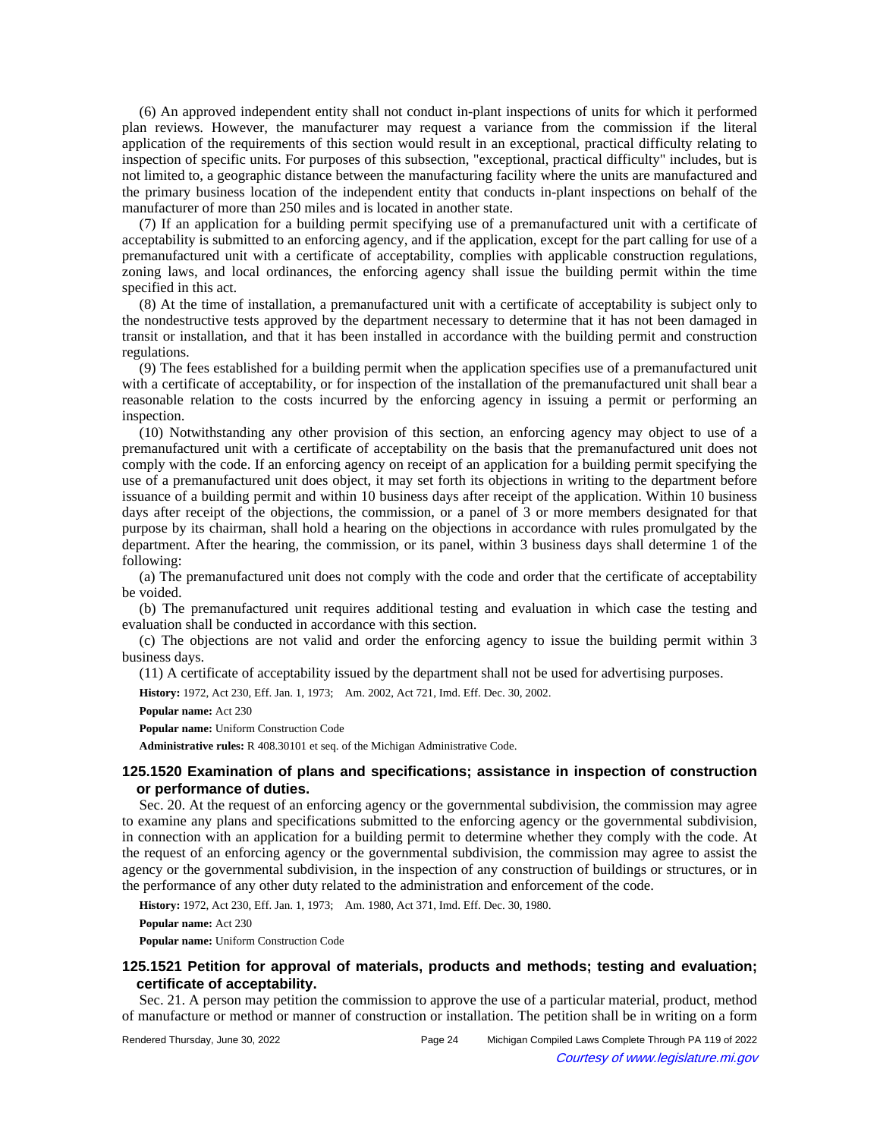(6) An approved independent entity shall not conduct in-plant inspections of units for which it performed plan reviews. However, the manufacturer may request a variance from the commission if the literal application of the requirements of this section would result in an exceptional, practical difficulty relating to inspection of specific units. For purposes of this subsection, "exceptional, practical difficulty" includes, but is not limited to, a geographic distance between the manufacturing facility where the units are manufactured and the primary business location of the independent entity that conducts in-plant inspections on behalf of the manufacturer of more than 250 miles and is located in another state.

(7) If an application for a building permit specifying use of a premanufactured unit with a certificate of acceptability is submitted to an enforcing agency, and if the application, except for the part calling for use of a premanufactured unit with a certificate of acceptability, complies with applicable construction regulations, zoning laws, and local ordinances, the enforcing agency shall issue the building permit within the time specified in this act.

(8) At the time of installation, a premanufactured unit with a certificate of acceptability is subject only to the nondestructive tests approved by the department necessary to determine that it has not been damaged in transit or installation, and that it has been installed in accordance with the building permit and construction regulations.

(9) The fees established for a building permit when the application specifies use of a premanufactured unit with a certificate of acceptability, or for inspection of the installation of the premanufactured unit shall bear a reasonable relation to the costs incurred by the enforcing agency in issuing a permit or performing an inspection.

(10) Notwithstanding any other provision of this section, an enforcing agency may object to use of a premanufactured unit with a certificate of acceptability on the basis that the premanufactured unit does not comply with the code. If an enforcing agency on receipt of an application for a building permit specifying the use of a premanufactured unit does object, it may set forth its objections in writing to the department before issuance of a building permit and within 10 business days after receipt of the application. Within 10 business days after receipt of the objections, the commission, or a panel of 3 or more members designated for that purpose by its chairman, shall hold a hearing on the objections in accordance with rules promulgated by the department. After the hearing, the commission, or its panel, within 3 business days shall determine 1 of the following:

(a) The premanufactured unit does not comply with the code and order that the certificate of acceptability be voided.

(b) The premanufactured unit requires additional testing and evaluation in which case the testing and evaluation shall be conducted in accordance with this section.

(c) The objections are not valid and order the enforcing agency to issue the building permit within 3 business days.

(11) A certificate of acceptability issued by the department shall not be used for advertising purposes.

History: 1972, Act 230, Eff. Jan. 1, 1973;-- Am. 2002, Act 721, Imd. Eff. Dec. 30, 2002.

**Popular name:** Act 230

**Popular name:** Uniform Construction Code

**Administrative rules:** R 408.30101 et seq. of the Michigan Administrative Code.

## **125.1520 Examination of plans and specifications; assistance in inspection of construction or performance of duties.**

Sec. 20. At the request of an enforcing agency or the governmental subdivision, the commission may agree to examine any plans and specifications submitted to the enforcing agency or the governmental subdivision, in connection with an application for a building permit to determine whether they comply with the code. At the request of an enforcing agency or the governmental subdivision, the commission may agree to assist the agency or the governmental subdivision, in the inspection of any construction of buildings or structures, or in the performance of any other duty related to the administration and enforcement of the code.

History: 1972, Act 230, Eff. Jan. 1, 1973;-- Am. 1980, Act 371, Imd. Eff. Dec. 30, 1980.

**Popular name:** Act 230

**Popular name:** Uniform Construction Code

## **125.1521 Petition for approval of materials, products and methods; testing and evaluation; certificate of acceptability.**

Sec. 21. A person may petition the commission to approve the use of a particular material, product, method of manufacture or method or manner of construction or installation. The petition shall be in writing on a form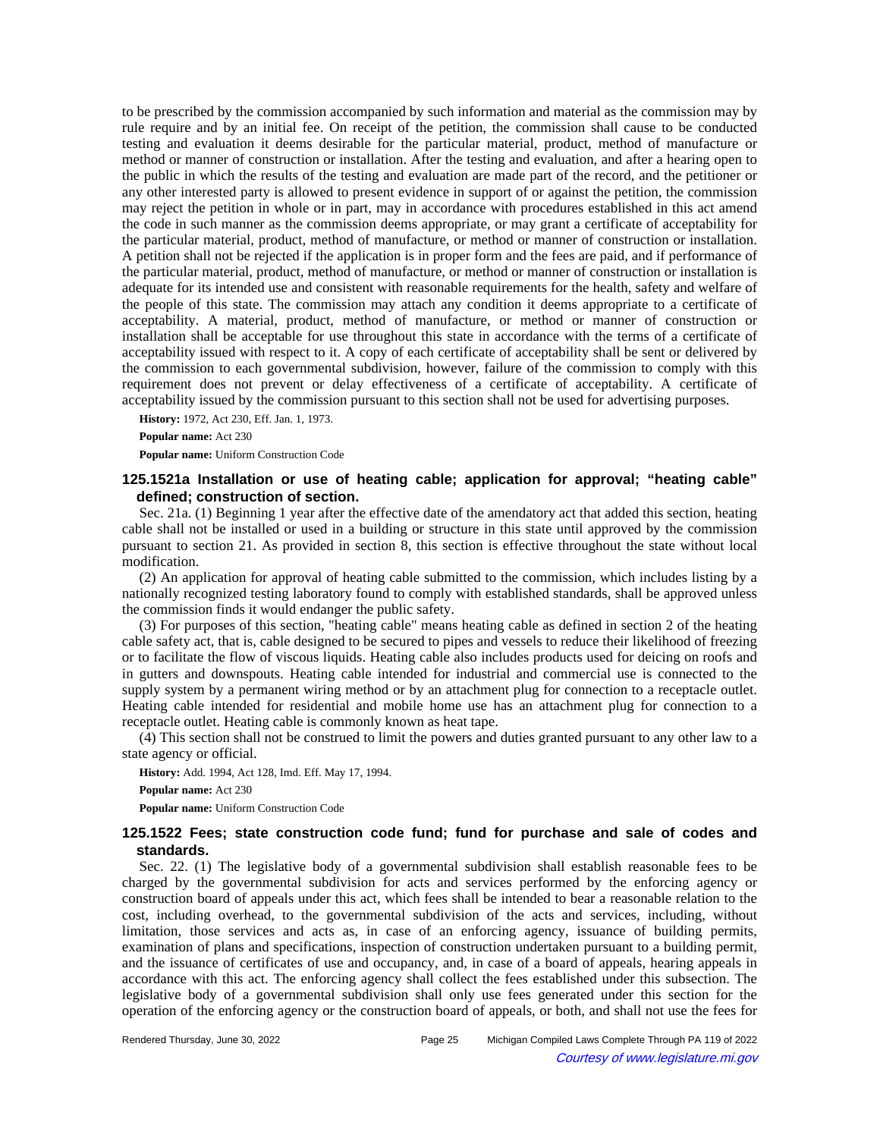to be prescribed by the commission accompanied by such information and material as the commission may by rule require and by an initial fee. On receipt of the petition, the commission shall cause to be conducted testing and evaluation it deems desirable for the particular material, product, method of manufacture or method or manner of construction or installation. After the testing and evaluation, and after a hearing open to the public in which the results of the testing and evaluation are made part of the record, and the petitioner or any other interested party is allowed to present evidence in support of or against the petition, the commission may reject the petition in whole or in part, may in accordance with procedures established in this act amend the code in such manner as the commission deems appropriate, or may grant a certificate of acceptability for the particular material, product, method of manufacture, or method or manner of construction or installation. A petition shall not be rejected if the application is in proper form and the fees are paid, and if performance of the particular material, product, method of manufacture, or method or manner of construction or installation is adequate for its intended use and consistent with reasonable requirements for the health, safety and welfare of the people of this state. The commission may attach any condition it deems appropriate to a certificate of acceptability. A material, product, method of manufacture, or method or manner of construction or installation shall be acceptable for use throughout this state in accordance with the terms of a certificate of acceptability issued with respect to it. A copy of each certificate of acceptability shall be sent or delivered by the commission to each governmental subdivision, however, failure of the commission to comply with this requirement does not prevent or delay effectiveness of a certificate of acceptability. A certificate of acceptability issued by the commission pursuant to this section shall not be used for advertising purposes.

**History:** 1972, Act 230, Eff. Jan. 1, 1973. **Popular name:** Act 230 **Popular name:** Uniform Construction Code

# **125.1521a Installation or use of heating cable; application for approval; "heating cable" defined; construction of section.**

Sec. 21a. (1) Beginning 1 year after the effective date of the amendatory act that added this section, heating cable shall not be installed or used in a building or structure in this state until approved by the commission pursuant to section 21. As provided in section 8, this section is effective throughout the state without local modification.

(2) An application for approval of heating cable submitted to the commission, which includes listing by a nationally recognized testing laboratory found to comply with established standards, shall be approved unless the commission finds it would endanger the public safety.

(3) For purposes of this section, "heating cable" means heating cable as defined in section 2 of the heating cable safety act, that is, cable designed to be secured to pipes and vessels to reduce their likelihood of freezing or to facilitate the flow of viscous liquids. Heating cable also includes products used for deicing on roofs and in gutters and downspouts. Heating cable intended for industrial and commercial use is connected to the supply system by a permanent wiring method or by an attachment plug for connection to a receptacle outlet. Heating cable intended for residential and mobile home use has an attachment plug for connection to a receptacle outlet. Heating cable is commonly known as heat tape.

(4) This section shall not be construed to limit the powers and duties granted pursuant to any other law to a state agency or official.

**History:** Add. 1994, Act 128, Imd. Eff. May 17, 1994. **Popular name:** Act 230

**Popular name:** Uniform Construction Code

# **125.1522 Fees; state construction code fund; fund for purchase and sale of codes and standards.**

Sec. 22. (1) The legislative body of a governmental subdivision shall establish reasonable fees to be charged by the governmental subdivision for acts and services performed by the enforcing agency or construction board of appeals under this act, which fees shall be intended to bear a reasonable relation to the cost, including overhead, to the governmental subdivision of the acts and services, including, without limitation, those services and acts as, in case of an enforcing agency, issuance of building permits, examination of plans and specifications, inspection of construction undertaken pursuant to a building permit, and the issuance of certificates of use and occupancy, and, in case of a board of appeals, hearing appeals in accordance with this act. The enforcing agency shall collect the fees established under this subsection. The legislative body of a governmental subdivision shall only use fees generated under this section for the operation of the enforcing agency or the construction board of appeals, or both, and shall not use the fees for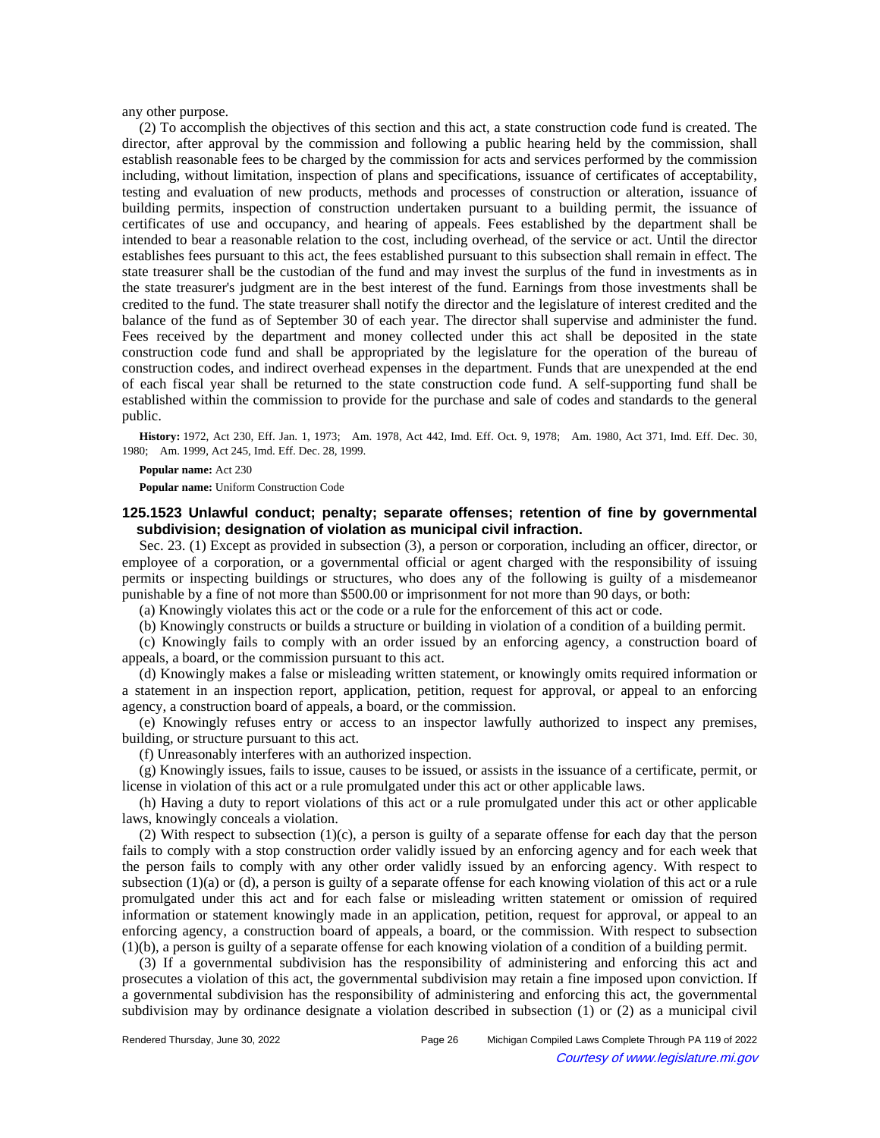any other purpose.

(2) To accomplish the objectives of this section and this act, a state construction code fund is created. The director, after approval by the commission and following a public hearing held by the commission, shall establish reasonable fees to be charged by the commission for acts and services performed by the commission including, without limitation, inspection of plans and specifications, issuance of certificates of acceptability, testing and evaluation of new products, methods and processes of construction or alteration, issuance of building permits, inspection of construction undertaken pursuant to a building permit, the issuance of certificates of use and occupancy, and hearing of appeals. Fees established by the department shall be intended to bear a reasonable relation to the cost, including overhead, of the service or act. Until the director establishes fees pursuant to this act, the fees established pursuant to this subsection shall remain in effect. The state treasurer shall be the custodian of the fund and may invest the surplus of the fund in investments as in the state treasurer's judgment are in the best interest of the fund. Earnings from those investments shall be credited to the fund. The state treasurer shall notify the director and the legislature of interest credited and the balance of the fund as of September 30 of each year. The director shall supervise and administer the fund. Fees received by the department and money collected under this act shall be deposited in the state construction code fund and shall be appropriated by the legislature for the operation of the bureau of construction codes, and indirect overhead expenses in the department. Funds that are unexpended at the end of each fiscal year shall be returned to the state construction code fund. A self-supporting fund shall be established within the commission to provide for the purchase and sale of codes and standards to the general public.

History: 1972, Act 230, Eff. Jan. 1, 1973;--Am. 1978, Act 442, Imd. Eff. Oct. 9, 1978;--Am. 1980, Act 371, Imd. Eff. Dec. 30, 1980; Am. 1999, Act 245, Imd. Eff. Dec. 28, 1999.

#### **Popular name:** Act 230

**Popular name:** Uniform Construction Code

# **125.1523 Unlawful conduct; penalty; separate offenses; retention of fine by governmental subdivision; designation of violation as municipal civil infraction.**

Sec. 23. (1) Except as provided in subsection (3), a person or corporation, including an officer, director, or employee of a corporation, or a governmental official or agent charged with the responsibility of issuing permits or inspecting buildings or structures, who does any of the following is guilty of a misdemeanor punishable by a fine of not more than \$500.00 or imprisonment for not more than 90 days, or both:

(a) Knowingly violates this act or the code or a rule for the enforcement of this act or code.

(b) Knowingly constructs or builds a structure or building in violation of a condition of a building permit.

(c) Knowingly fails to comply with an order issued by an enforcing agency, a construction board of appeals, a board, or the commission pursuant to this act.

(d) Knowingly makes a false or misleading written statement, or knowingly omits required information or a statement in an inspection report, application, petition, request for approval, or appeal to an enforcing agency, a construction board of appeals, a board, or the commission.

(e) Knowingly refuses entry or access to an inspector lawfully authorized to inspect any premises, building, or structure pursuant to this act.

(f) Unreasonably interferes with an authorized inspection.

(g) Knowingly issues, fails to issue, causes to be issued, or assists in the issuance of a certificate, permit, or license in violation of this act or a rule promulgated under this act or other applicable laws.

(h) Having a duty to report violations of this act or a rule promulgated under this act or other applicable laws, knowingly conceals a violation.

(2) With respect to subsection (1)(c), a person is guilty of a separate offense for each day that the person fails to comply with a stop construction order validly issued by an enforcing agency and for each week that the person fails to comply with any other order validly issued by an enforcing agency. With respect to subsection (1)(a) or (d), a person is guilty of a separate offense for each knowing violation of this act or a rule promulgated under this act and for each false or misleading written statement or omission of required information or statement knowingly made in an application, petition, request for approval, or appeal to an enforcing agency, a construction board of appeals, a board, or the commission. With respect to subsection (1)(b), a person is guilty of a separate offense for each knowing violation of a condition of a building permit.

(3) If a governmental subdivision has the responsibility of administering and enforcing this act and prosecutes a violation of this act, the governmental subdivision may retain a fine imposed upon conviction. If a governmental subdivision has the responsibility of administering and enforcing this act, the governmental subdivision may by ordinance designate a violation described in subsection (1) or (2) as a municipal civil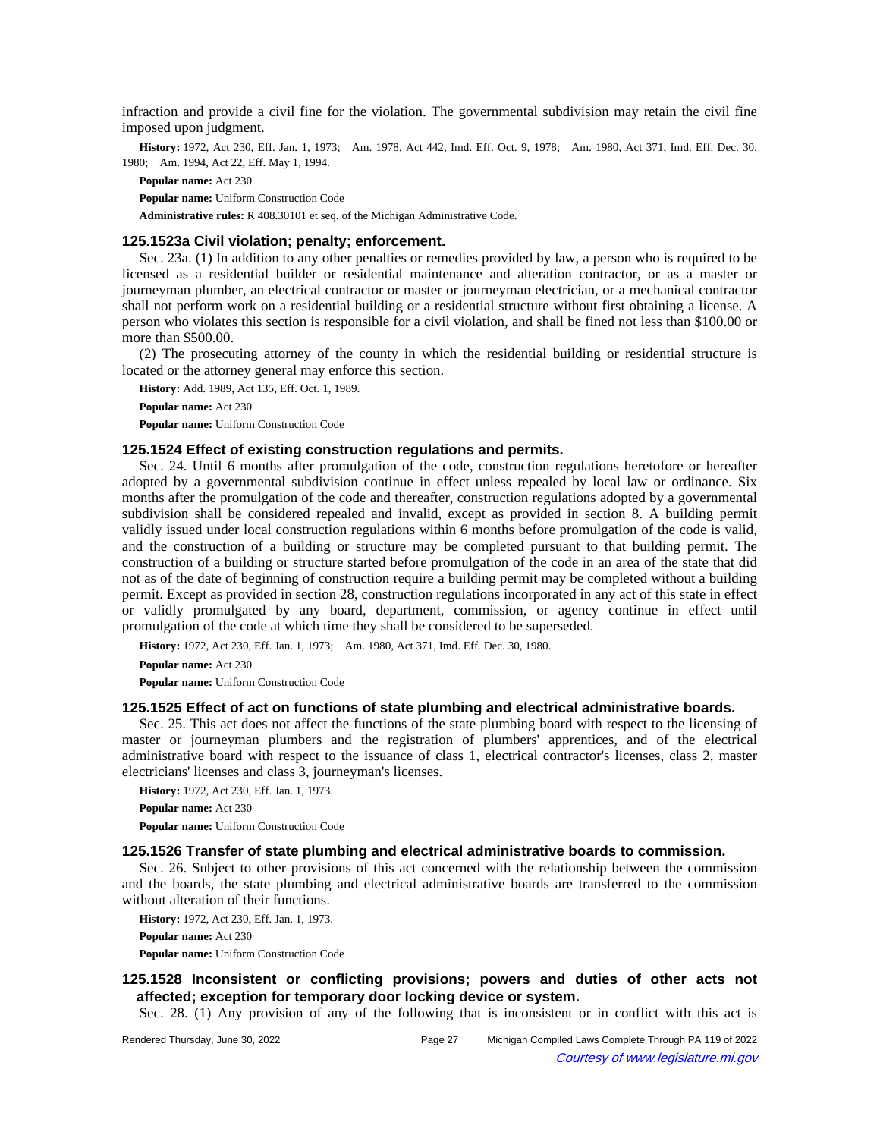infraction and provide a civil fine for the violation. The governmental subdivision may retain the civil fine imposed upon judgment.

History: 1972, Act 230, Eff. Jan. 1, 1973;—Am. 1978, Act 442, Imd. Eff. Oct. 9, 1978;—Am. 1980, Act 371, Imd. Eff. Dec. 30, 1980; Am. 1994, Act 22, Eff. May 1, 1994.

**Popular name:** Act 230

**Popular name:** Uniform Construction Code

**Administrative rules:** R 408.30101 et seq. of the Michigan Administrative Code.

### **125.1523a Civil violation; penalty; enforcement.**

Sec. 23a. (1) In addition to any other penalties or remedies provided by law, a person who is required to be licensed as a residential builder or residential maintenance and alteration contractor, or as a master or journeyman plumber, an electrical contractor or master or journeyman electrician, or a mechanical contractor shall not perform work on a residential building or a residential structure without first obtaining a license. A person who violates this section is responsible for a civil violation, and shall be fined not less than \$100.00 or more than \$500.00.

(2) The prosecuting attorney of the county in which the residential building or residential structure is located or the attorney general may enforce this section.

**History:** Add. 1989, Act 135, Eff. Oct. 1, 1989. **Popular name:** Act 230 **Popular name:** Uniform Construction Code

## **125.1524 Effect of existing construction regulations and permits.**

Sec. 24. Until 6 months after promulgation of the code, construction regulations heretofore or hereafter adopted by a governmental subdivision continue in effect unless repealed by local law or ordinance. Six months after the promulgation of the code and thereafter, construction regulations adopted by a governmental subdivision shall be considered repealed and invalid, except as provided in section 8. A building permit validly issued under local construction regulations within 6 months before promulgation of the code is valid, and the construction of a building or structure may be completed pursuant to that building permit. The construction of a building or structure started before promulgation of the code in an area of the state that did not as of the date of beginning of construction require a building permit may be completed without a building permit. Except as provided in section 28, construction regulations incorporated in any act of this state in effect or validly promulgated by any board, department, commission, or agency continue in effect until promulgation of the code at which time they shall be considered to be superseded.

History: 1972, Act 230, Eff. Jan. 1, 1973;—Am. 1980, Act 371, Imd. Eff. Dec. 30, 1980.

**Popular name:** Act 230

**Popular name:** Uniform Construction Code

### **125.1525 Effect of act on functions of state plumbing and electrical administrative boards.**

Sec. 25. This act does not affect the functions of the state plumbing board with respect to the licensing of master or journeyman plumbers and the registration of plumbers' apprentices, and of the electrical administrative board with respect to the issuance of class 1, electrical contractor's licenses, class 2, master electricians' licenses and class 3, journeyman's licenses.

**History:** 1972, Act 230, Eff. Jan. 1, 1973. **Popular name:** Act 230 **Popular name:** Uniform Construction Code

## **125.1526 Transfer of state plumbing and electrical administrative boards to commission.**

Sec. 26. Subject to other provisions of this act concerned with the relationship between the commission and the boards, the state plumbing and electrical administrative boards are transferred to the commission without alteration of their functions.

**History:** 1972, Act 230, Eff. Jan. 1, 1973.

**Popular name:** Act 230

**Popular name:** Uniform Construction Code

# **125.1528 Inconsistent or conflicting provisions; powers and duties of other acts not affected; exception for temporary door locking device or system.**

Sec. 28. (1) Any provision of any of the following that is inconsistent or in conflict with this act is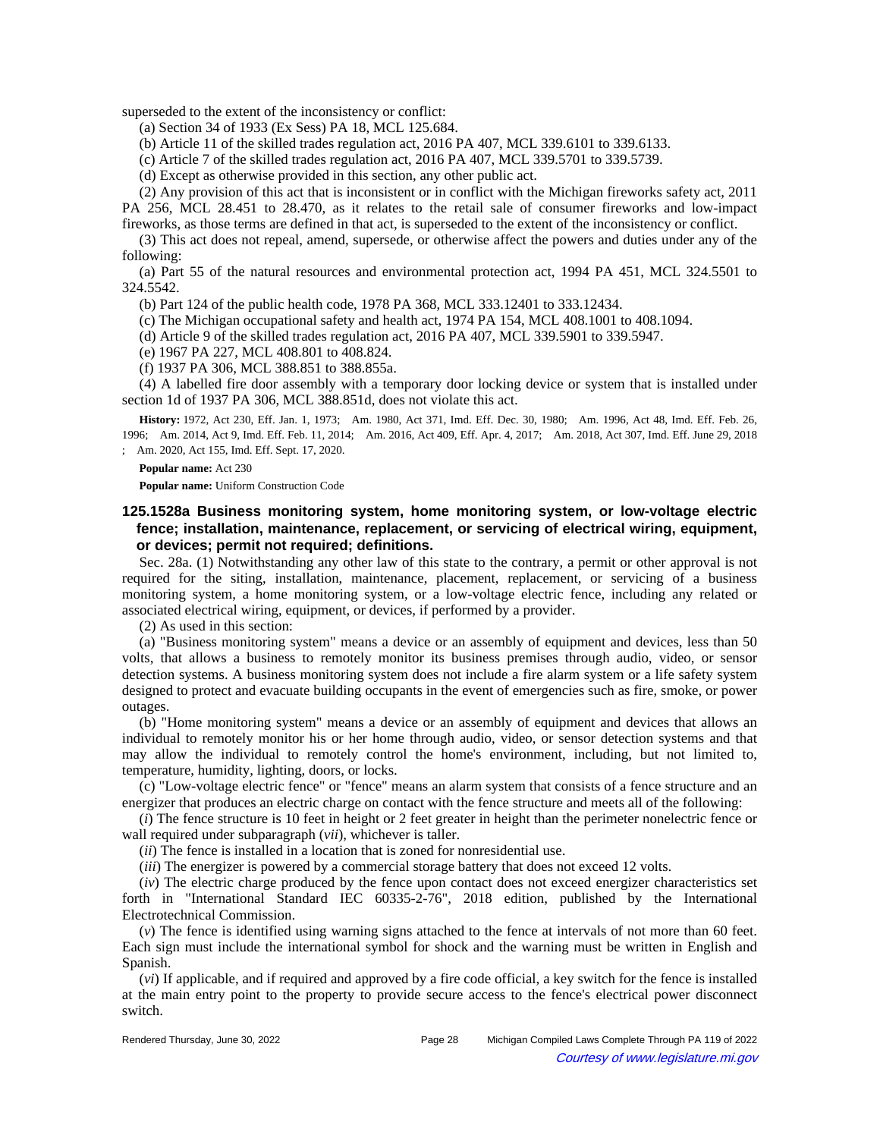superseded to the extent of the inconsistency or conflict:

(a) Section 34 of 1933 (Ex Sess) PA 18, MCL 125.684.

(b) Article 11 of the skilled trades regulation act, 2016 PA 407, MCL 339.6101 to 339.6133.

(c) Article 7 of the skilled trades regulation act, 2016 PA 407, MCL 339.5701 to 339.5739.

(d) Except as otherwise provided in this section, any other public act.

(2) Any provision of this act that is inconsistent or in conflict with the Michigan fireworks safety act, 2011 PA 256, MCL 28.451 to 28.470, as it relates to the retail sale of consumer fireworks and low-impact fireworks, as those terms are defined in that act, is superseded to the extent of the inconsistency or conflict.

(3) This act does not repeal, amend, supersede, or otherwise affect the powers and duties under any of the following:

(a) Part 55 of the natural resources and environmental protection act, 1994 PA 451, MCL 324.5501 to 324.5542.

(b) Part 124 of the public health code, 1978 PA 368, MCL 333.12401 to 333.12434.

(c) The Michigan occupational safety and health act, 1974 PA 154, MCL 408.1001 to 408.1094.

(d) Article 9 of the skilled trades regulation act, 2016 PA 407, MCL 339.5901 to 339.5947.

(e) 1967 PA 227, MCL 408.801 to 408.824.

(f) 1937 PA 306, MCL 388.851 to 388.855a.

(4) A labelled fire door assembly with a temporary door locking device or system that is installed under section 1d of 1937 PA 306, MCL 388.851d, does not violate this act.

History: 1972, Act 230, Eff. Jan. 1, 1973;—Am. 1980, Act 371, Imd. Eff. Dec. 30, 1980;—Am. 1996, Act 48, Imd. Eff. Feb. 26, 1996;—Am. 2014, Act 9, Imd. Eff. Feb. 11, 2014;—Am. 2016, Act 409, Eff. Apr. 4, 2017;—Am. 2018, Act 307, Imd. Eff. June 29, 2018 ;- Am. 2020, Act 155, Imd. Eff. Sept. 17, 2020.

#### **Popular name:** Act 230

**Popular name:** Uniform Construction Code

## **125.1528a Business monitoring system, home monitoring system, or low-voltage electric fence; installation, maintenance, replacement, or servicing of electrical wiring, equipment, or devices; permit not required; definitions.**

Sec. 28a. (1) Notwithstanding any other law of this state to the contrary, a permit or other approval is not required for the siting, installation, maintenance, placement, replacement, or servicing of a business monitoring system, a home monitoring system, or a low-voltage electric fence, including any related or associated electrical wiring, equipment, or devices, if performed by a provider.

(2) As used in this section:

(a) "Business monitoring system" means a device or an assembly of equipment and devices, less than 50 volts, that allows a business to remotely monitor its business premises through audio, video, or sensor detection systems. A business monitoring system does not include a fire alarm system or a life safety system designed to protect and evacuate building occupants in the event of emergencies such as fire, smoke, or power outages.

(b) "Home monitoring system" means a device or an assembly of equipment and devices that allows an individual to remotely monitor his or her home through audio, video, or sensor detection systems and that may allow the individual to remotely control the home's environment, including, but not limited to, temperature, humidity, lighting, doors, or locks.

(c) "Low-voltage electric fence" or "fence" means an alarm system that consists of a fence structure and an energizer that produces an electric charge on contact with the fence structure and meets all of the following:

(*i*) The fence structure is 10 feet in height or 2 feet greater in height than the perimeter nonelectric fence or wall required under subparagraph (*vii*), whichever is taller.

(*ii*) The fence is installed in a location that is zoned for nonresidential use.

(*iii*) The energizer is powered by a commercial storage battery that does not exceed 12 volts.

(*iv*) The electric charge produced by the fence upon contact does not exceed energizer characteristics set forth in "International Standard IEC 60335-2-76", 2018 edition, published by the International Electrotechnical Commission.

(*v*) The fence is identified using warning signs attached to the fence at intervals of not more than 60 feet. Each sign must include the international symbol for shock and the warning must be written in English and Spanish.

(*vi*) If applicable, and if required and approved by a fire code official, a key switch for the fence is installed at the main entry point to the property to provide secure access to the fence's electrical power disconnect switch.